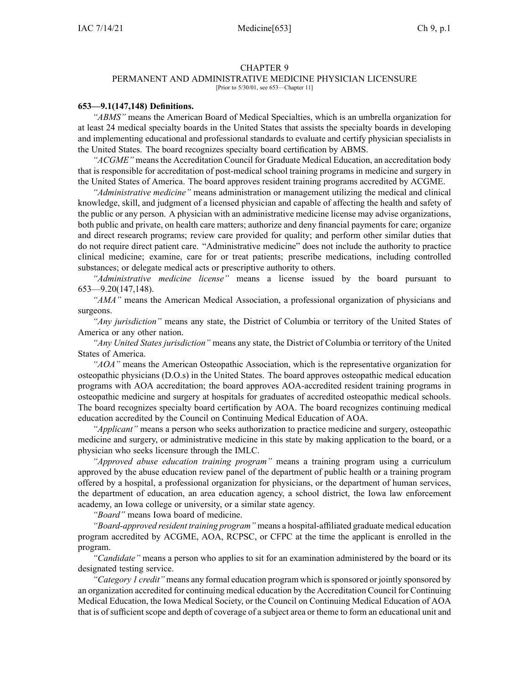#### CHAPTER 9

# PERMANENT AND ADMINISTRATIVE MEDICINE PHYSICIAN LICENSURE

[Prior to 5/30/01, see 653—Chapter 11]

#### **653—9.1(147,148) Definitions.**

*"ABMS"* means the American Board of Medical Specialties, which is an umbrella organization for at least 24 medical specialty boards in the United States that assists the specialty boards in developing and implementing educational and professional standards to evaluate and certify physician specialists in the United States. The board recognizes specialty board certification by ABMS.

*"ACGME"* means the Accreditation Council for Graduate Medical Education, an accreditation body that is responsible for accreditation of post-medical school training programs in medicine and surgery in the United States of America. The board approves resident training programs accredited by ACGME.

*"Administrative medicine"* means administration or managemen<sup>t</sup> utilizing the medical and clinical knowledge, skill, and judgment of <sup>a</sup> licensed physician and capable of affecting the health and safety of the public or any person. A physician with an administrative medicine license may advise organizations, both public and private, on health care matters; authorize and deny financial payments for care; organize and direct research programs; review care provided for quality; and perform other similar duties that do not require direct patient care. "Administrative medicine" does not include the authority to practice clinical medicine; examine, care for or treat patients; prescribe medications, including controlled substances; or delegate medical acts or prescriptive authority to others.

*"Administrative medicine license"* means <sup>a</sup> license issued by the board pursuan<sup>t</sup> to 653—9.20(147,148).

*"AMA"* means the American Medical Association, <sup>a</sup> professional organization of physicians and surgeons.

*"Any jurisdiction"* means any state, the District of Columbia or territory of the United States of America or any other nation.

*"Any United States jurisdiction"* means any state, the District of Columbia or territory of the United States of America.

*"AOA"* means the American Osteopathic Association, which is the representative organization for osteopathic physicians (D.O.s) in the United States. The board approves osteopathic medical education programs with AOA accreditation; the board approves AOA-accredited resident training programs in osteopathic medicine and surgery at hospitals for graduates of accredited osteopathic medical schools. The board recognizes specialty board certification by AOA. The board recognizes continuing medical education accredited by the Council on Continuing Medical Education of AOA.

*"Applicant"* means <sup>a</sup> person who seeks authorization to practice medicine and surgery, osteopathic medicine and surgery, or administrative medicine in this state by making application to the board, or <sup>a</sup> physician who seeks licensure through the IMLC.

*"Approved abuse education training program"* means <sup>a</sup> training program using <sup>a</sup> curriculum approved by the abuse education review panel of the department of public health or <sup>a</sup> training program offered by <sup>a</sup> hospital, <sup>a</sup> professional organization for physicians, or the department of human services, the department of education, an area education agency, <sup>a</sup> school district, the Iowa law enforcement academy, an Iowa college or university, or <sup>a</sup> similar state agency.

*"Board"* means Iowa board of medicine.

*"Board-approved resident training program"* means <sup>a</sup> hospital-affiliated graduate medical education program accredited by ACGME, AOA, RCPSC, or CFPC at the time the applicant is enrolled in the program.

*"Candidate"* means <sup>a</sup> person who applies to sit for an examination administered by the board or its designated testing service.

*"Category 1 credit"* means any formal education program which issponsored or jointly sponsored by an organization accredited for continuing medical education by the Accreditation Council for Continuing Medical Education, the Iowa Medical Society, or the Council on Continuing Medical Education of AOA that is of sufficient scope and depth of coverage of a subject area or theme to form an educational unit and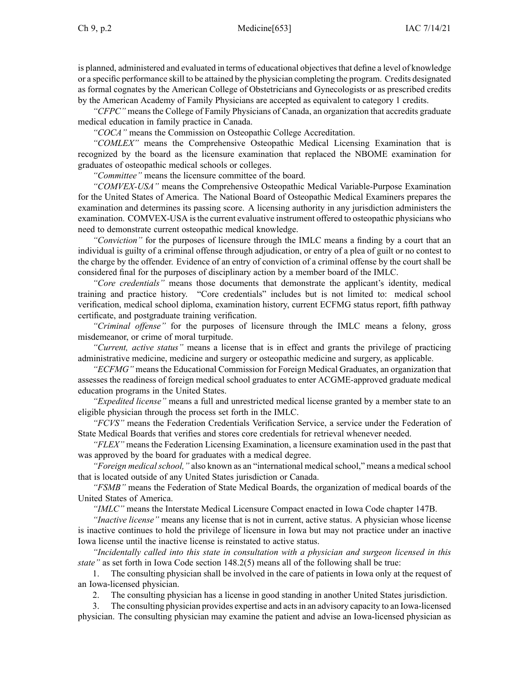#### Ch 9, p.2 Medicine[653] IAC 7/14/21

is planned, administered and evaluated in terms of educational objectives that define a level of knowledge or <sup>a</sup> specific performance skill to be attained by the physician completing the program. Credits designated as formal cognates by the American College of Obstetricians and Gynecologists or as prescribed credits by the American Academy of Family Physicians are accepted as equivalent to category 1 credits.

*"CFPC"* means the College of Family Physicians of Canada, an organization that accredits graduate medical education in family practice in Canada.

*"COCA"* means the Commission on Osteopathic College Accreditation.

*"COMLEX"* means the Comprehensive Osteopathic Medical Licensing Examination that is recognized by the board as the licensure examination that replaced the NBOME examination for graduates of osteopathic medical schools or colleges.

*"Committee"* means the licensure committee of the board.

*"COMVEX-USA"* means the Comprehensive Osteopathic Medical Variable-Purpose Examination for the United States of America. The National Board of Osteopathic Medical Examiners prepares the examination and determines its passing score. A licensing authority in any jurisdiction administers the examination. COMVEX-USA isthe current evaluative instrument offered to osteopathic physicians who need to demonstrate current osteopathic medical knowledge.

*"Conviction"* for the purposes of licensure through the IMLC means <sup>a</sup> finding by <sup>a</sup> court that an individual is guilty of <sup>a</sup> criminal offense through adjudication, or entry of <sup>a</sup> plea of guilt or no contest to the charge by the offender. Evidence of an entry of conviction of <sup>a</sup> criminal offense by the court shall be considered final for the purposes of disciplinary action by <sup>a</sup> member board of the IMLC.

*"Core credentials"* means those documents that demonstrate the applicant's identity, medical training and practice history. "Core credentials" includes but is not limited to: medical school verification, medical school diploma, examination history, current ECFMG status report, fifth pathway certificate, and postgraduate training verification.

*"Criminal offense"* for the purposes of licensure through the IMLC means <sup>a</sup> felony, gross misdemeanor, or crime of moral turpitude.

*"Current, active status"* means <sup>a</sup> license that is in effect and grants the privilege of practicing administrative medicine, medicine and surgery or osteopathic medicine and surgery, as applicable.

*"ECFMG"* means the Educational Commission for Foreign Medical Graduates, an organization that assesses the readiness of foreign medical school graduates to enter ACGME-approved graduate medical education programs in the United States.

*"Expedited license"* means <sup>a</sup> full and unrestricted medical license granted by <sup>a</sup> member state to an eligible physician through the process set forth in the IMLC.

*"FCVS"* means the Federation Credentials Verification Service, <sup>a</sup> service under the Federation of State Medical Boards that verifies and stores core credentials for retrieval whenever needed.

*"FLEX"* means the Federation Licensing Examination, <sup>a</sup> licensure examination used in the pas<sup>t</sup> that was approved by the board for graduates with <sup>a</sup> medical degree.

*"Foreign medical school,"* also known as an "international medical school," means a medical school that is located outside of any United States jurisdiction or Canada.

*"FSMB"* means the Federation of State Medical Boards, the organization of medical boards of the United States of America.

*"IMLC"* means the Interstate Medical Licensure Compact enacted in Iowa Code chapter [147B](https://www.legis.iowa.gov/docs/ico/chapter/2018/147B.pdf).

*"Inactive license"* means any license that is not in current, active status. A physician whose license is inactive continues to hold the privilege of licensure in Iowa but may not practice under an inactive Iowa license until the inactive license is reinstated to active status.

*"Incidentally called into this state in consultation with <sup>a</sup> physician and surgeon licensed in this state"* as set forth in Iowa Code section [148.2\(5\)](https://www.legis.iowa.gov/docs/ico/section/148.2.pdf) means all of the following shall be true:

1. The consulting physician shall be involved in the care of patients in Iowa only at the reques<sup>t</sup> of an Iowa-licensed physician.

2. The consulting physician has <sup>a</sup> license in good standing in another United States jurisdiction.

3. The consulting physician provides expertise and actsin an advisory capacity to an Iowa-licensed physician. The consulting physician may examine the patient and advise an Iowa-licensed physician as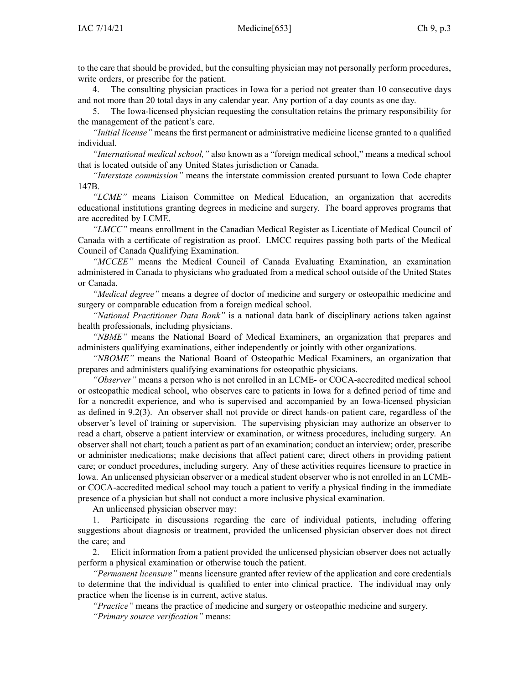to the care that should be provided, but the consulting physician may not personally perform procedures, write orders, or prescribe for the patient.

4. The consulting physician practices in Iowa for <sup>a</sup> period not greater than 10 consecutive days and not more than 20 total days in any calendar year. Any portion of <sup>a</sup> day counts as one day.

5. The Iowa-licensed physician requesting the consultation retains the primary responsibility for the managemen<sup>t</sup> of the patient's care.

*"Initial license"* means the first permanen<sup>t</sup> or administrative medicine license granted to <sup>a</sup> qualified individual.

*"International medical school,"* also known as <sup>a</sup> "foreign medical school," means <sup>a</sup> medical school that is located outside of any United States jurisdiction or Canada.

*"Interstate commission"* means the interstate commission created pursuan<sup>t</sup> to Iowa Code chapter [147B](https://www.legis.iowa.gov/docs/ico/chapter/2018/147B.pdf).

*"LCME"* means Liaison Committee on Medical Education, an organization that accredits educational institutions granting degrees in medicine and surgery. The board approves programs that are accredited by LCME.

*"LMCC"* means enrollment in the Canadian Medical Register as Licentiate of Medical Council of Canada with <sup>a</sup> certificate of registration as proof. LMCC requires passing both parts of the Medical Council of Canada Qualifying Examination.

*"MCCEE"* means the Medical Council of Canada Evaluating Examination, an examination administered in Canada to physicians who graduated from <sup>a</sup> medical school outside of the United States or Canada.

*"Medical degree"* means <sup>a</sup> degree of doctor of medicine and surgery or osteopathic medicine and surgery or comparable education from <sup>a</sup> foreign medical school.

*"National Practitioner Data Bank"* is <sup>a</sup> national data bank of disciplinary actions taken against health professionals, including physicians.

*"NBME"* means the National Board of Medical Examiners, an organization that prepares and administers qualifying examinations, either independently or jointly with other organizations.

*"NBOME"* means the National Board of Osteopathic Medical Examiners, an organization that prepares and administers qualifying examinations for osteopathic physicians.

*"Observer"* means <sup>a</sup> person who is not enrolled in an LCME- or COCA-accredited medical school or osteopathic medical school, who observes care to patients in Iowa for <sup>a</sup> defined period of time and for <sup>a</sup> noncredit experience, and who is supervised and accompanied by an Iowa-licensed physician as defined in [9.2\(3\)](https://www.legis.iowa.gov/docs/iac/rule/653.9.2.pdf). An observer shall not provide or direct hands-on patient care, regardless of the observer's level of training or supervision. The supervising physician may authorize an observer to read <sup>a</sup> chart, observe <sup>a</sup> patient interview or examination, or witness procedures, including surgery. An observer shall not chart; touch <sup>a</sup> patient as par<sup>t</sup> of an examination; conduct an interview; order, prescribe or administer medications; make decisions that affect patient care; direct others in providing patient care; or conduct procedures, including surgery. Any of these activities requires licensure to practice in Iowa. An unlicensed physician observer or <sup>a</sup> medical student observer who is not enrolled in an LCMEor COCA-accredited medical school may touch <sup>a</sup> patient to verify <sup>a</sup> physical finding in the immediate presence of <sup>a</sup> physician but shall not conduct <sup>a</sup> more inclusive physical examination.

An unlicensed physician observer may:

1. Participate in discussions regarding the care of individual patients, including offering suggestions about diagnosis or treatment, provided the unlicensed physician observer does not direct the care; and

2. Elicit information from <sup>a</sup> patient provided the unlicensed physician observer does not actually perform <sup>a</sup> physical examination or otherwise touch the patient.

*"Permanent licensure"* means licensure granted after review of the application and core credentials to determine that the individual is qualified to enter into clinical practice. The individual may only practice when the license is in current, active status.

*"Practice"* means the practice of medicine and surgery or osteopathic medicine and surgery.

*"Primary source verification"* means: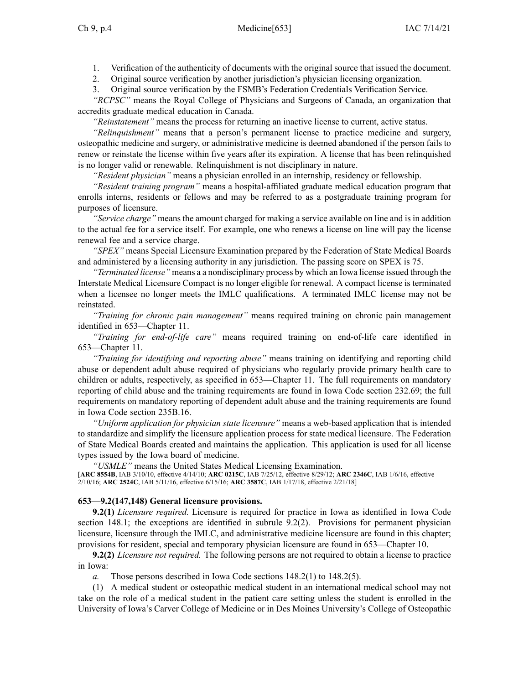1. Verification of the authenticity of documents with the original source that issued the document.

2. Original source verification by another jurisdiction's physician licensing organization.

3. Original source verification by the FSMB's Federation Credentials Verification Service.

*"RCPSC"* means the Royal College of Physicians and Surgeons of Canada, an organization that accredits graduate medical education in Canada.

*"Reinstatement"* means the process for returning an inactive license to current, active status.

*"Relinquishment"* means that <sup>a</sup> person's permanen<sup>t</sup> license to practice medicine and surgery, osteopathic medicine and surgery, or administrative medicine is deemed abandoned if the person fails to renew or reinstate the license within five years after its expiration. A license that has been relinquished is no longer valid or renewable. Relinquishment is not disciplinary in nature.

*"Resident physician"* means <sup>a</sup> physician enrolled in an internship, residency or fellowship.

*"Resident training program"* means <sup>a</sup> hospital-affiliated graduate medical education program that enrolls interns, residents or fellows and may be referred to as <sup>a</sup> postgraduate training program for purposes of licensure.

*"Service charge"* means the amount charged for making <sup>a</sup> service available on line and is in addition to the actual fee for <sup>a</sup> service itself. For example, one who renews <sup>a</sup> license on line will pay the license renewal fee and <sup>a</sup> service charge.

*"SPEX"* means Special Licensure Examination prepared by the Federation of State Medical Boards and administered by <sup>a</sup> licensing authority in any jurisdiction. The passing score on SPEX is 75.

*"Terminated license"* means <sup>a</sup> <sup>a</sup> nondisciplinary process by which an Iowa license issued through the Interstate Medical Licensure Compact is no longer eligible for renewal. A compac<sup>t</sup> license is terminated when <sup>a</sup> licensee no longer meets the IMLC qualifications. A terminated IMLC license may not be reinstated.

*"Training for chronic pain management"* means required training on chronic pain managemen<sup>t</sup> identified in [653—Chapter](https://www.legis.iowa.gov/docs/iac/chapter/653.11.pdf) 11.

*"Training for end-of-life care"* means required training on end-of-life care identified in [653—Chapter](https://www.legis.iowa.gov/docs/iac/chapter/653.11.pdf) 11.

*"Training for identifying and reporting abuse"* means training on identifying and reporting child abuse or dependent adult abuse required of physicians who regularly provide primary health care to children or adults, respectively, as specified in [653—Chapter](https://www.legis.iowa.gov/docs/iac/chapter/653.11.pdf) 11. The full requirements on mandatory reporting of child abuse and the training requirements are found in Iowa Code section [232.69](https://www.legis.iowa.gov/docs/ico/section/232.69.pdf); the full requirements on mandatory reporting of dependent adult abuse and the training requirements are found in Iowa Code section [235B.16](https://www.legis.iowa.gov/docs/ico/section/235B.16.pdf).

*"Uniform application for physician state licensure"* means <sup>a</sup> web-based application that is intended to standardize and simplify the licensure application process for state medical licensure. The Federation of State Medical Boards created and maintains the application. This application is used for all license types issued by the Iowa board of medicine.

*"USMLE"* means the United States Medical Licensing Examination.

[**ARC [8554B](https://www.legis.iowa.gov/docs/aco/arc/8554B.pdf)**, IAB 3/10/10, effective 4/14/10; **ARC [0215C](https://www.legis.iowa.gov/docs/aco/arc/0215C.pdf)**, IAB 7/25/12, effective 8/29/12; **ARC [2346C](https://www.legis.iowa.gov/docs/aco/arc/2346C.pdf)**, IAB 1/6/16, effective 2/10/16; **ARC [2524C](https://www.legis.iowa.gov/docs/aco/arc/2524C.pdf)**, IAB 5/11/16, effective 6/15/16; **ARC [3587C](https://www.legis.iowa.gov/docs/aco/arc/3587C.pdf)**, IAB 1/17/18, effective 2/21/18]

### **653—9.2(147,148) General licensure provisions.**

**9.2(1)** *Licensure required.* Licensure is required for practice in Iowa as identified in Iowa Code section [148.1](https://www.legis.iowa.gov/docs/ico/section/148.1.pdf); the exceptions are identified in subrule [9.2\(2\)](https://www.legis.iowa.gov/docs/iac/rule/653.9.2.pdf). Provisions for permanent physician licensure, licensure through the IMLC, and administrative medicine licensure are found in this chapter; provisions for resident, special and temporary physician licensure are found in [653—Chapter](https://www.legis.iowa.gov/docs/iac/chapter/653.10.pdf) 10.

**9.2(2)** *Licensure not required.* The following persons are not required to obtain <sup>a</sup> license to practice in Iowa:

*a.* Those persons described in Iowa Code sections 148.2(1) to [148.2\(5\)](https://www.legis.iowa.gov/docs/ico/section/148.2.pdf).

(1) A medical student or osteopathic medical student in an international medical school may not take on the role of <sup>a</sup> medical student in the patient care setting unless the student is enrolled in the University of Iowa's Carver College of Medicine or in Des Moines University's College of Osteopathic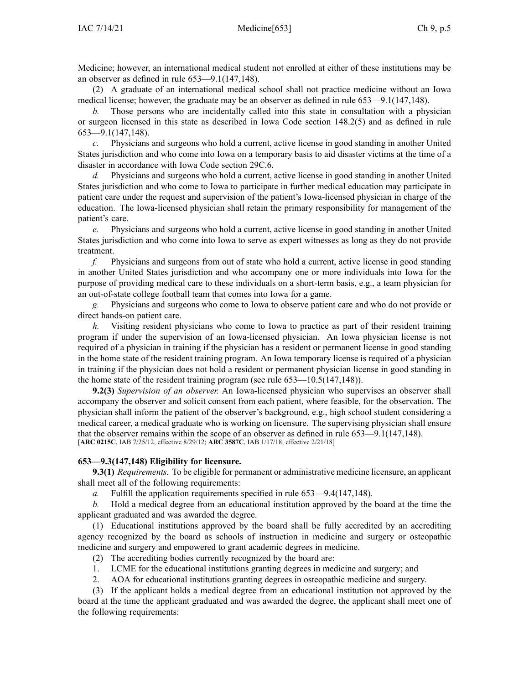Medicine; however, an international medical student not enrolled at either of these institutions may be an observer as defined in rule [653—9.1](https://www.legis.iowa.gov/docs/iac/rule/653.9.1.pdf)(147,148).

(2) A graduate of an international medical school shall not practice medicine without an Iowa medical license; however, the graduate may be an observer as defined in rule [653—9.1](https://www.legis.iowa.gov/docs/iac/rule/653.9.1.pdf)(147,148).

*b.* Those persons who are incidentally called into this state in consultation with <sup>a</sup> physician or surgeon licensed in this state as described in Iowa Code section [148.2\(5\)](https://www.legis.iowa.gov/docs/ico/section/148.2.pdf) and as defined in rule [653—9.1\(](https://www.legis.iowa.gov/docs/iac/rule/653.9.1.pdf)147,148).

*c.* Physicians and surgeons who hold <sup>a</sup> current, active license in good standing in another United States jurisdiction and who come into Iowa on <sup>a</sup> temporary basis to aid disaster victims at the time of <sup>a</sup> disaster in accordance with Iowa Code section [29C.6](https://www.legis.iowa.gov/docs/ico/section/29C.6.pdf).

*d.* Physicians and surgeons who hold <sup>a</sup> current, active license in good standing in another United States jurisdiction and who come to Iowa to participate in further medical education may participate in patient care under the reques<sup>t</sup> and supervision of the patient's Iowa-licensed physician in charge of the education. The Iowa-licensed physician shall retain the primary responsibility for managemen<sup>t</sup> of the patient's care.

*e.* Physicians and surgeons who hold <sup>a</sup> current, active license in good standing in another United States jurisdiction and who come into Iowa to serve as exper<sup>t</sup> witnesses as long as they do not provide treatment.

*f.* Physicians and surgeons from out of state who hold <sup>a</sup> current, active license in good standing in another United States jurisdiction and who accompany one or more individuals into Iowa for the purpose of providing medical care to these individuals on <sup>a</sup> short-term basis, e.g., <sup>a</sup> team physician for an out-of-state college football team that comes into Iowa for <sup>a</sup> game.

*g.* Physicians and surgeons who come to Iowa to observe patient care and who do not provide or direct hands-on patient care.

*h.* Visiting resident physicians who come to Iowa to practice as par<sup>t</sup> of their resident training program if under the supervision of an Iowa-licensed physician. An Iowa physician license is not required of <sup>a</sup> physician in training if the physician has <sup>a</sup> resident or permanen<sup>t</sup> license in good standing in the home state of the resident training program. An Iowa temporary license is required of <sup>a</sup> physician in training if the physician does not hold <sup>a</sup> resident or permanen<sup>t</sup> physician license in good standing in the home state of the resident training program (see rule [653—10.5](https://www.legis.iowa.gov/docs/iac/rule/653.10.5.pdf)(147,148)).

**9.2(3)** *Supervision of an observer.* An Iowa-licensed physician who supervises an observer shall accompany the observer and solicit consent from each patient, where feasible, for the observation. The physician shall inform the patient of the observer's background, e.g., high school student considering <sup>a</sup> medical career, <sup>a</sup> medical graduate who is working on licensure. The supervising physician shall ensure that the observer remains within the scope of an observer as defined in rule [653—9.1](https://www.legis.iowa.gov/docs/iac/rule/653.9.1.pdf)(147,148). [**ARC [0215C](https://www.legis.iowa.gov/docs/aco/arc/0215C.pdf)**, IAB 7/25/12, effective 8/29/12; **ARC [3587C](https://www.legis.iowa.gov/docs/aco/arc/3587C.pdf)**, IAB 1/17/18, effective 2/21/18]

### **653—9.3(147,148) Eligibility for licensure.**

**9.3(1)** *Requirements.* To be eligible for permanen<sup>t</sup> or administrative medicine licensure, an applicant shall meet all of the following requirements:

*a.* Fulfill the application requirements specified in rule [653—9.4](https://www.legis.iowa.gov/docs/iac/rule/653.9.4.pdf)(147,148).

*b.* Hold <sup>a</sup> medical degree from an educational institution approved by the board at the time the applicant graduated and was awarded the degree.

(1) Educational institutions approved by the board shall be fully accredited by an accrediting agency recognized by the board as schools of instruction in medicine and surgery or osteopathic medicine and surgery and empowered to gran<sup>t</sup> academic degrees in medicine.

- (2) The accrediting bodies currently recognized by the board are:
- 1. LCME for the educational institutions granting degrees in medicine and surgery; and
- 2. AOA for educational institutions granting degrees in osteopathic medicine and surgery.

(3) If the applicant holds <sup>a</sup> medical degree from an educational institution not approved by the board at the time the applicant graduated and was awarded the degree, the applicant shall meet one of the following requirements: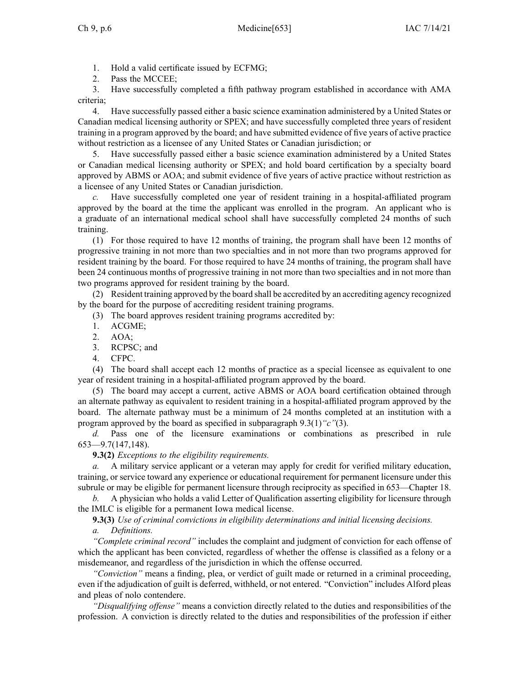- 1. Hold <sup>a</sup> valid certificate issued by ECFMG;
- 2. Pass the MCCEE;

3. Have successfully completed <sup>a</sup> fifth pathway program established in accordance with AMA criteria;

4. Have successfully passed either <sup>a</sup> basic science examination administered by <sup>a</sup> United States or Canadian medical licensing authority or SPEX; and have successfully completed three years of resident training in <sup>a</sup> program approved by the board; and have submitted evidence of five years of active practice without restriction as <sup>a</sup> licensee of any United States or Canadian jurisdiction; or

5. Have successfully passed either <sup>a</sup> basic science examination administered by <sup>a</sup> United States or Canadian medical licensing authority or SPEX; and hold board certification by <sup>a</sup> specialty board approved by ABMS or AOA; and submit evidence of five years of active practice without restriction as <sup>a</sup> licensee of any United States or Canadian jurisdiction.

Have successfully completed one year of resident training in a hospital-affiliated program approved by the board at the time the applicant was enrolled in the program. An applicant who is <sup>a</sup> graduate of an international medical school shall have successfully completed 24 months of such training.

(1) For those required to have 12 months of training, the program shall have been 12 months of progressive training in not more than two specialties and in not more than two programs approved for resident training by the board. For those required to have 24 months of training, the program shall have been 24 continuous months of progressive training in not more than two specialties and in not more than two programs approved for resident training by the board.

(2) Resident training approved by the board shall be accredited by an accrediting agency recognized by the board for the purpose of accrediting resident training programs.

- (3) The board approves resident training programs accredited by:
- 1. ACGME;
- 2. AOA;
- 3. RCPSC; and
- 4. CFPC.

(4) The board shall accep<sup>t</sup> each 12 months of practice as <sup>a</sup> special licensee as equivalent to one year of resident training in <sup>a</sup> hospital-affiliated program approved by the board.

(5) The board may accep<sup>t</sup> <sup>a</sup> current, active ABMS or AOA board certification obtained through an alternate pathway as equivalent to resident training in <sup>a</sup> hospital-affiliated program approved by the board. The alternate pathway must be <sup>a</sup> minimum of 24 months completed at an institution with <sup>a</sup> program approved by the board as specified in [subparagraph](https://www.legis.iowa.gov/docs/iac/rule/653.9.3.pdf) 9.3(1)*"c"*(3).

*d.* Pass one of the licensure examinations or combinations as prescribed in rule [653—9.7\(](https://www.legis.iowa.gov/docs/iac/rule/653.9.7.pdf)147,148).

**9.3(2)** *Exceptions to the eligibility requirements.*

*a.* A military service applicant or <sup>a</sup> veteran may apply for credit for verified military education, training, or service toward any experience or educational requirement for permanen<sup>t</sup> licensure under this subrule or may be eligible for permanen<sup>t</sup> licensure through reciprocity as specified in [653—Chapter](https://www.legis.iowa.gov/docs/iac/chapter/653.18.pdf) 18.

*b.* A physician who holds <sup>a</sup> valid Letter of Qualification asserting eligibility for licensure through the IMLC is eligible for <sup>a</sup> permanen<sup>t</sup> Iowa medical license.

**9.3(3)** *Use of criminal convictions in eligibility determinations and initial licensing decisions.*

*a. Definitions.*

*"Complete criminal record"* includes the complaint and judgment of conviction for each offense of which the applicant has been convicted, regardless of whether the offense is classified as <sup>a</sup> felony or <sup>a</sup> misdemeanor, and regardless of the jurisdiction in which the offense occurred.

*"Conviction"* means <sup>a</sup> finding, plea, or verdict of guilt made or returned in <sup>a</sup> criminal proceeding, even if the adjudication of guilt is deferred, withheld, or not entered. "Conviction" includes Alford pleas and pleas of nolo contendere.

*"Disqualifying offense"* means <sup>a</sup> conviction directly related to the duties and responsibilities of the profession. A conviction is directly related to the duties and responsibilities of the profession if either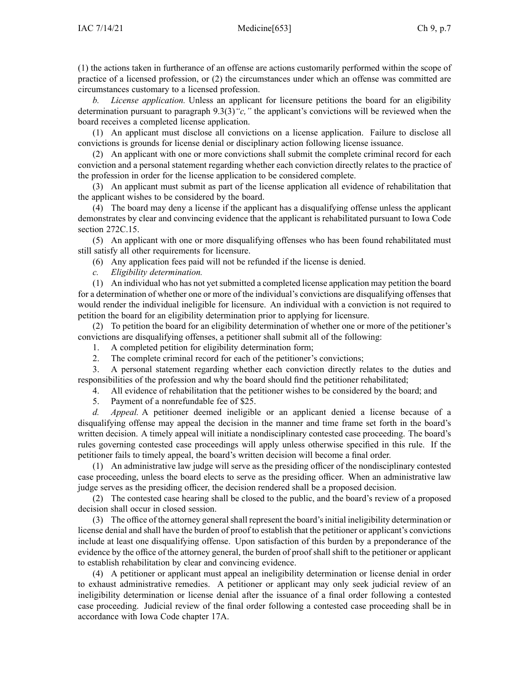(1) the actions taken in furtherance of an offense are actions customarily performed within the scope of practice of <sup>a</sup> licensed profession, or (2) the circumstances under which an offense was committed are circumstances customary to <sup>a</sup> licensed profession.

*b. License application.* Unless an applicant for licensure petitions the board for an eligibility determination pursuan<sup>t</sup> to [paragrap](https://www.legis.iowa.gov/docs/iac/rule/653.9.3.pdf)h 9.3(3)*"c,"* the applicant's convictions will be reviewed when the board receives <sup>a</sup> completed license application.

(1) An applicant must disclose all convictions on <sup>a</sup> license application. Failure to disclose all convictions is grounds for license denial or disciplinary action following license issuance.

(2) An applicant with one or more convictions shall submit the complete criminal record for each conviction and <sup>a</sup> personal statement regarding whether each conviction directly relates to the practice of the profession in order for the license application to be considered complete.

(3) An applicant must submit as par<sup>t</sup> of the license application all evidence of rehabilitation that the applicant wishes to be considered by the board.

(4) The board may deny <sup>a</sup> license if the applicant has <sup>a</sup> disqualifying offense unless the applicant demonstrates by clear and convincing evidence that the applicant is rehabilitated pursuan<sup>t</sup> to Iowa Code section [272C.15](https://www.legis.iowa.gov/docs/ico/section/272C.15.pdf).

(5) An applicant with one or more disqualifying offenses who has been found rehabilitated must still satisfy all other requirements for licensure.

- (6) Any application fees paid will not be refunded if the license is denied.
- *c. Eligibility determination.*

(1) An individual who has not ye<sup>t</sup> submitted <sup>a</sup> completed license application may petition the board for <sup>a</sup> determination of whether one or more of the individual's convictions are disqualifying offenses that would render the individual ineligible for licensure. An individual with <sup>a</sup> conviction is not required to petition the board for an eligibility determination prior to applying for licensure.

(2) To petition the board for an eligibility determination of whether one or more of the petitioner's convictions are disqualifying offenses, <sup>a</sup> petitioner shall submit all of the following:

- 1. A completed petition for eligibility determination form;
- 2. The complete criminal record for each of the petitioner's convictions;

3. A personal statement regarding whether each conviction directly relates to the duties and responsibilities of the profession and why the board should find the petitioner rehabilitated;

4. All evidence of rehabilitation that the petitioner wishes to be considered by the board; and

5. Payment of <sup>a</sup> nonrefundable fee of \$25.

*d. Appeal.* A petitioner deemed ineligible or an applicant denied <sup>a</sup> license because of <sup>a</sup> disqualifying offense may appeal the decision in the manner and time frame set forth in the board's written decision. A timely appeal will initiate <sup>a</sup> nondisciplinary contested case proceeding. The board's rules governing contested case proceedings will apply unless otherwise specified in this rule. If the petitioner fails to timely appeal, the board's written decision will become <sup>a</sup> final order.

(1) An administrative law judge will serve as the presiding officer of the nondisciplinary contested case proceeding, unless the board elects to serve as the presiding officer. When an administrative law judge serves as the presiding officer, the decision rendered shall be <sup>a</sup> proposed decision.

(2) The contested case hearing shall be closed to the public, and the board's review of <sup>a</sup> proposed decision shall occur in closed session.

(3) The office of the attorney generalshall represen<sup>t</sup> the board'sinitial ineligibility determination or license denial and shall have the burden of proof to establish that the petitioner or applicant's convictions include at least one disqualifying offense. Upon satisfaction of this burden by <sup>a</sup> preponderance of the evidence by the office of the attorney general, the burden of proof shall shift to the petitioner or applicant to establish rehabilitation by clear and convincing evidence.

(4) A petitioner or applicant must appeal an ineligibility determination or license denial in order to exhaust administrative remedies. A petitioner or applicant may only seek judicial review of an ineligibility determination or license denial after the issuance of <sup>a</sup> final order following <sup>a</sup> contested case proceeding. Judicial review of the final order following <sup>a</sup> contested case proceeding shall be in accordance with Iowa Code chapter [17A](https://www.legis.iowa.gov/docs/ico/chapter/17A.pdf).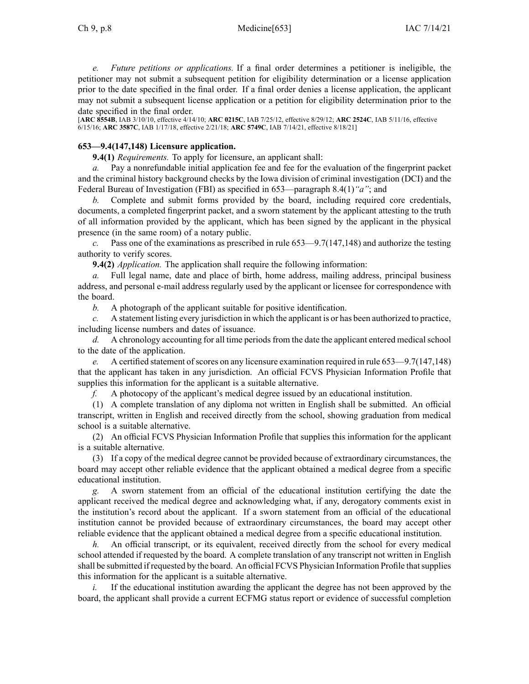Ch 9, p.8 Medicine[653] IAC 7/14/21

*e. Future petitions or applications.* If <sup>a</sup> final order determines <sup>a</sup> petitioner is ineligible, the petitioner may not submit <sup>a</sup> subsequent petition for eligibility determination or <sup>a</sup> license application prior to the date specified in the final order. If <sup>a</sup> final order denies <sup>a</sup> license application, the applicant may not submit <sup>a</sup> subsequent license application or <sup>a</sup> petition for eligibility determination prior to the date specified in the final order.

[**ARC [8554B](https://www.legis.iowa.gov/docs/aco/arc/8554B.pdf)**, IAB 3/10/10, effective 4/14/10; **ARC [0215C](https://www.legis.iowa.gov/docs/aco/arc/0215C.pdf)**, IAB 7/25/12, effective 8/29/12; **ARC [2524C](https://www.legis.iowa.gov/docs/aco/arc/2524C.pdf)**, IAB 5/11/16, effective 6/15/16; **ARC [3587C](https://www.legis.iowa.gov/docs/aco/arc/3587C.pdf)**, IAB 1/17/18, effective 2/21/18; **ARC [5749C](https://www.legis.iowa.gov/docs/aco/arc/5749C.pdf)**, IAB 7/14/21, effective 8/18/21]

## **653—9.4(147,148) Licensure application.**

**9.4(1)** *Requirements.* To apply for licensure, an applicant shall:

*a.* Pay <sup>a</sup> nonrefundable initial application fee and fee for the evaluation of the fingerprint packet and the criminal history background checks by the Iowa division of criminal investigation (DCI) and the Federal Bureau of Investigation (FBI) as specified in [653—paragraph](https://www.legis.iowa.gov/docs/iac/rule/653.8.4.pdf) 8.4(1)*"a"*; and

*b.* Complete and submit forms provided by the board, including required core credentials, documents, <sup>a</sup> completed fingerprint packet, and <sup>a</sup> sworn statement by the applicant attesting to the truth of all information provided by the applicant, which has been signed by the applicant in the physical presence (in the same room) of <sup>a</sup> notary public.

*c.* Pass one of the examinations as prescribed in rule [653—9.7](https://www.legis.iowa.gov/docs/iac/rule/653.9.7.pdf)(147,148) and authorize the testing authority to verify scores.

**9.4(2)** *Application.* The application shall require the following information:

*a.* Full legal name, date and place of birth, home address, mailing address, principal business address, and personal e-mail address regularly used by the applicant or licensee for correspondence with the board.

*b.* A photograph of the applicant suitable for positive identification.

*c.* A statement listing every jurisdiction in which the applicant is or has been authorized to practice, including license numbers and dates of issuance.

*d.* A chronology accounting for all time periods from the date the applicant entered medical school to the date of the application.

*e.* A certified statement of scores on any licensure examination required in rule 653–9.7(147,148) that the applicant has taken in any jurisdiction. An official FCVS Physician Information Profile that supplies this information for the applicant is <sup>a</sup> suitable alternative.

*f.* A photocopy of the applicant's medical degree issued by an educational institution.

(1) A complete translation of any diploma not written in English shall be submitted. An official transcript, written in English and received directly from the school, showing graduation from medical school is <sup>a</sup> suitable alternative.

(2) An official FCVS Physician Information Profile that supplies this information for the applicant is <sup>a</sup> suitable alternative.

(3) If <sup>a</sup> copy of the medical degree cannot be provided because of extraordinary circumstances, the board may accep<sup>t</sup> other reliable evidence that the applicant obtained <sup>a</sup> medical degree from <sup>a</sup> specific educational institution.

*g.* A sworn statement from an official of the educational institution certifying the date the applicant received the medical degree and acknowledging what, if any, derogatory comments exist in the institution's record about the applicant. If <sup>a</sup> sworn statement from an official of the educational institution cannot be provided because of extraordinary circumstances, the board may accep<sup>t</sup> other reliable evidence that the applicant obtained <sup>a</sup> medical degree from <sup>a</sup> specific educational institution.

*h.* An official transcript, or its equivalent, received directly from the school for every medical school attended if requested by the board. A complete translation of any transcript not written in English shall be submitted if requested by the board. An official FCVS Physician Information Profile thatsupplies this information for the applicant is <sup>a</sup> suitable alternative.

*i.* If the educational institution awarding the applicant the degree has not been approved by the board, the applicant shall provide <sup>a</sup> current ECFMG status repor<sup>t</sup> or evidence of successful completion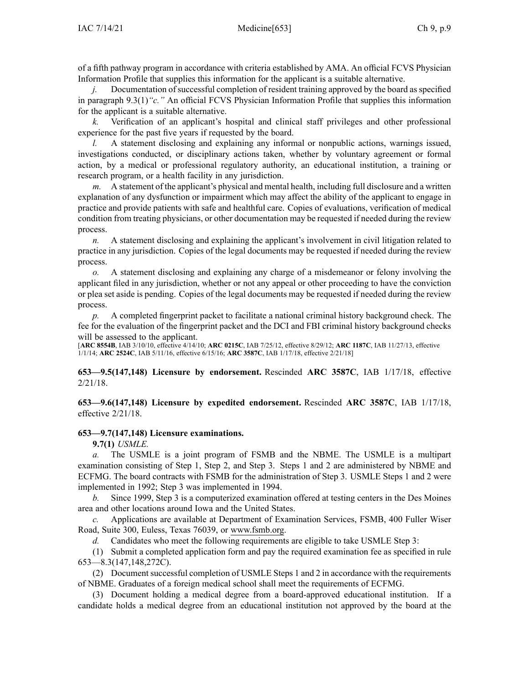of <sup>a</sup> fifth pathway program in accordance with criteria established by AMA. An official FCVS Physician Information Profile that supplies this information for the applicant is <sup>a</sup> suitable alternative.

*j.* Documentation of successful completion of resident training approved by the board as specified in paragraph [9.3\(1\)](https://www.legis.iowa.gov/docs/iac/rule/653.9.3.pdf)*"c."* An official FCVS Physician Information Profile that supplies this information for the applicant is <sup>a</sup> suitable alternative.

*k.* Verification of an applicant's hospital and clinical staff privileges and other professional experience for the pas<sup>t</sup> five years if requested by the board.

*l.* A statement disclosing and explaining any informal or nonpublic actions, warnings issued, investigations conducted, or disciplinary actions taken, whether by voluntary agreemen<sup>t</sup> or formal action, by <sup>a</sup> medical or professional regulatory authority, an educational institution, <sup>a</sup> training or research program, or <sup>a</sup> health facility in any jurisdiction.

*m.* A statement of the applicant's physical and mental health, including full disclosure and <sup>a</sup> written explanation of any dysfunction or impairment which may affect the ability of the applicant to engage in practice and provide patients with safe and healthful care. Copies of evaluations, verification of medical condition from treating physicians, or other documentation may be requested if needed during the review process.

*n.* A statement disclosing and explaining the applicant's involvement in civil litigation related to practice in any jurisdiction. Copies of the legal documents may be requested if needed during the review process.

*o.* A statement disclosing and explaining any charge of <sup>a</sup> misdemeanor or felony involving the applicant filed in any jurisdiction, whether or not any appeal or other proceeding to have the conviction or plea set aside is pending. Copies of the legal documents may be requested if needed during the review process.

*p.* A completed fingerprint packet to facilitate <sup>a</sup> national criminal history background check. The fee for the evaluation of the fingerprint packet and the DCI and FBI criminal history background checks will be assessed to the applicant.

[**ARC [8554B](https://www.legis.iowa.gov/docs/aco/arc/8554B.pdf)**, IAB 3/10/10, effective 4/14/10; **ARC [0215C](https://www.legis.iowa.gov/docs/aco/arc/0215C.pdf)**, IAB 7/25/12, effective 8/29/12; **ARC [1187C](https://www.legis.iowa.gov/docs/aco/arc/1187C.pdf)**, IAB 11/27/13, effective 1/1/14; **ARC [2524C](https://www.legis.iowa.gov/docs/aco/arc/2524C.pdf)**, IAB 5/11/16, effective 6/15/16; **ARC [3587C](https://www.legis.iowa.gov/docs/aco/arc/3587C.pdf)**, IAB 1/17/18, effective 2/21/18]

**653—9.5(147,148) Licensure by endorsement.** Rescinded **ARC 3587C**, IAB [1/17/18](https://www.legis.iowa.gov/docs/aco/bulletin/01-17-2018.pdf), effective 2/21/18.

**653—9.6(147,148) Licensure by expedited endorsement.** Rescinded **ARC 3587C**, IAB [1/17/18](https://www.legis.iowa.gov/docs/aco/bulletin/01-17-2018.pdf), effective 2/21/18.

#### **653—9.7(147,148) Licensure examinations.**

**9.7(1)** *USMLE.*

*a.* The USMLE is <sup>a</sup> joint program of FSMB and the NBME. The USMLE is <sup>a</sup> multipart examination consisting of Step 1, Step 2, and Step 3. Steps 1 and 2 are administered by NBME and ECFMG. The board contracts with FSMB for the administration of Step 3. USMLE Steps 1 and 2 were implemented in 1992; Step 3 was implemented in 1994.

*b.* Since 1999, Step 3 is <sup>a</sup> computerized examination offered at testing centers in the Des Moines area and other locations around Iowa and the United States.

*c.* Applications are available at Department of Examination Services, FSMB, 400 Fuller Wiser Road, Suite 300, Euless, Texas 76039, or www.fsmb.org.

*d.* Candidates who meet the following requirements are eligible to take USMLE Step 3:

(1) Submit <sup>a</sup> completed application form and pay the required examination fee as specified in rule [653—8.3\(](https://www.legis.iowa.gov/docs/iac/rule/653.8.3.pdf)147,148,272C).

(2) Document successful completion of USMLE Steps 1 and 2 in accordance with the requirements of NBME. Graduates of <sup>a</sup> foreign medical school shall meet the requirements of ECFMG.

(3) Document holding <sup>a</sup> medical degree from <sup>a</sup> board-approved educational institution. If <sup>a</sup> candidate holds <sup>a</sup> medical degree from an educational institution not approved by the board at the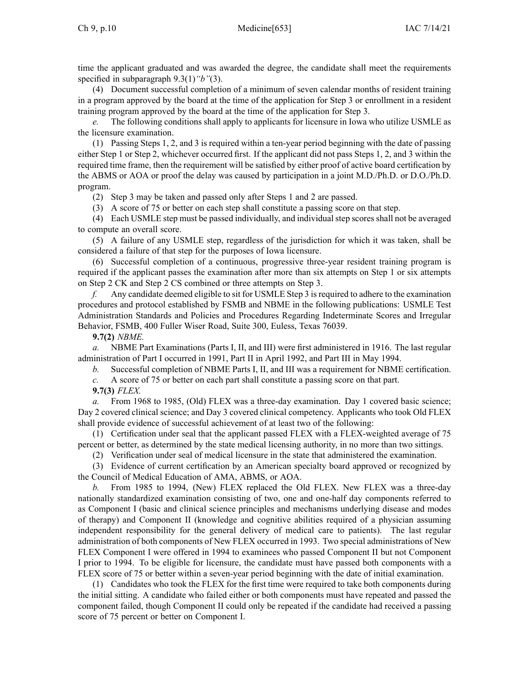time the applicant graduated and was awarded the degree, the candidate shall meet the requirements specified in subparagraph [9.3\(1\)](https://www.legis.iowa.gov/docs/iac/rule/653.9.3.pdf)*"b"*(3).

(4) Document successful completion of <sup>a</sup> minimum of seven calendar months of resident training in <sup>a</sup> program approved by the board at the time of the application for Step 3 or enrollment in <sup>a</sup> resident training program approved by the board at the time of the application for Step 3.

*e.* The following conditions shall apply to applicants for licensure in Iowa who utilize USMLE as the licensure examination.

(1) Passing Steps 1, 2, and 3 is required within <sup>a</sup> ten-year period beginning with the date of passing either Step 1 or Step 2, whichever occurred first. If the applicant did not pass Steps 1, 2, and 3 within the required time frame, then the requirement will be satisfied by either proof of active board certification by the ABMS or AOA or proof the delay was caused by participation in <sup>a</sup> joint M.D./Ph.D. or D.O./Ph.D. program.

(2) Step 3 may be taken and passed only after Steps 1 and 2 are passed.

(3) A score of 75 or better on each step shall constitute <sup>a</sup> passing score on that step.

(4) Each USMLE step must be passed individually, and individual step scores shall not be averaged to compute an overall score.

(5) A failure of any USMLE step, regardless of the jurisdiction for which it was taken, shall be considered <sup>a</sup> failure of that step for the purposes of Iowa licensure.

(6) Successful completion of <sup>a</sup> continuous, progressive three-year resident training program is required if the applicant passes the examination after more than six attempts on Step 1 or six attempts on Step 2 CK and Step 2 CS combined or three attempts on Step 3.

*f.* Any candidate deemed eligible to sit for USMLE Step 3 isrequired to adhere to the examination procedures and protocol established by FSMB and NBME in the following publications: USMLE Test Administration Standards and Policies and Procedures Regarding Indeterminate Scores and Irregular Behavior, FSMB, 400 Fuller Wiser Road, Suite 300, Euless, Texas 76039.

**9.7(2)** *NBME.*

*a.* NBME Part Examinations (Parts I, II, and III) were first administered in 1916. The last regular administration of Part I occurred in 1991, Part II in April 1992, and Part III in May 1994.

*b.* Successful completion of NBME Parts I, II, and III was <sup>a</sup> requirement for NBME certification.

*c.* A score of 75 or better on each par<sup>t</sup> shall constitute <sup>a</sup> passing score on that part.

**9.7(3)** *FLEX.*

*a.* From 1968 to 1985, (Old) FLEX was <sup>a</sup> three-day examination. Day 1 covered basic science; Day 2 covered clinical science; and Day 3 covered clinical competency. Applicants who took Old FLEX shall provide evidence of successful achievement of at least two of the following:

(1) Certification under seal that the applicant passed FLEX with <sup>a</sup> FLEX-weighted average of 75 percen<sup>t</sup> or better, as determined by the state medical licensing authority, in no more than two sittings.

(2) Verification under seal of medical licensure in the state that administered the examination.

(3) Evidence of current certification by an American specialty board approved or recognized by the Council of Medical Education of AMA, ABMS, or AOA.

*b.* From 1985 to 1994, (New) FLEX replaced the Old FLEX. New FLEX was <sup>a</sup> three-day nationally standardized examination consisting of two, one and one-half day components referred to as Component I (basic and clinical science principles and mechanisms underlying disease and modes of therapy) and Component II (knowledge and cognitive abilities required of <sup>a</sup> physician assuming independent responsibility for the general delivery of medical care to patients). The last regular administration of both components of New FLEX occurred in 1993. Two special administrations of New FLEX Component I were offered in 1994 to examinees who passed Component II but not Component I prior to 1994. To be eligible for licensure, the candidate must have passed both components with <sup>a</sup> FLEX score of 75 or better within <sup>a</sup> seven-year period beginning with the date of initial examination.

(1) Candidates who took the FLEX for the first time were required to take both components during the initial sitting. A candidate who failed either or both components must have repeated and passed the componen<sup>t</sup> failed, though Component II could only be repeated if the candidate had received <sup>a</sup> passing score of 75 percen<sup>t</sup> or better on Component I.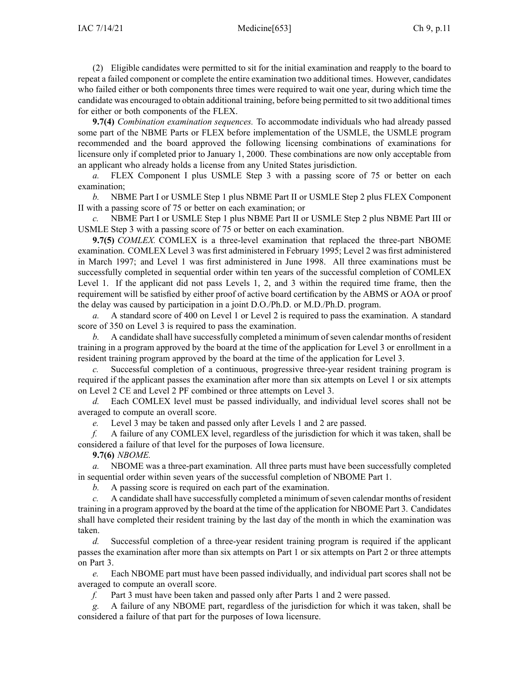(2) Eligible candidates were permitted to sit for the initial examination and reapply to the board to repea<sup>t</sup> <sup>a</sup> failed componen<sup>t</sup> or complete the entire examination two additional times. However, candidates who failed either or both components three times were required to wait one year, during which time the candidate was encouraged to obtain additional training, before being permitted to sit two additional times for either or both components of the FLEX.

**9.7(4)** *Combination examination sequences.* To accommodate individuals who had already passed some par<sup>t</sup> of the NBME Parts or FLEX before implementation of the USMLE, the USMLE program recommended and the board approved the following licensing combinations of examinations for licensure only if completed prior to January 1, 2000. These combinations are now only acceptable from an applicant who already holds <sup>a</sup> license from any United States jurisdiction.

*a.* FLEX Component I plus USMLE Step 3 with <sup>a</sup> passing score of 75 or better on each examination;

*b.* NBME Part I or USMLE Step 1 plus NBME Part II or USMLE Step 2 plus FLEX Component II with <sup>a</sup> passing score of 75 or better on each examination; or

*c.* NBME Part I or USMLE Step 1 plus NBME Part II or USMLE Step 2 plus NBME Part III or USMLE Step 3 with <sup>a</sup> passing score of 75 or better on each examination.

**9.7(5)** *COMLEX.* COMLEX is <sup>a</sup> three-level examination that replaced the three-part NBOME examination. COMLEX Level 3 was first administered in February 1995; Level 2 was first administered in March 1997; and Level 1 was first administered in June 1998. All three examinations must be successfully completed in sequential order within ten years of the successful completion of COMLEX Level 1. If the applicant did not pass Levels 1, 2, and 3 within the required time frame, then the requirement will be satisfied by either proof of active board certification by the ABMS or AOA or proof the delay was caused by participation in <sup>a</sup> joint D.O./Ph.D. or M.D./Ph.D. program.

*a.* A standard score of 400 on Level 1 or Level 2 is required to pass the examination. A standard score of 350 on Level 3 is required to pass the examination.

*b.* A candidate shall have successfully completed a minimum of seven calendar months of resident training in <sup>a</sup> program approved by the board at the time of the application for Level 3 or enrollment in <sup>a</sup> resident training program approved by the board at the time of the application for Level 3.

*c.* Successful completion of <sup>a</sup> continuous, progressive three-year resident training program is required if the applicant passes the examination after more than six attempts on Level 1 or six attempts on Level 2 CE and Level 2 PF combined or three attempts on Level 3.

*d.* Each COMLEX level must be passed individually, and individual level scores shall not be averaged to compute an overall score.

*e.* Level 3 may be taken and passed only after Levels 1 and 2 are passed.

*f.* A failure of any COMLEX level, regardless of the jurisdiction for which it was taken, shall be considered <sup>a</sup> failure of that level for the purposes of Iowa licensure.

**9.7(6)** *NBOME.*

*a.* NBOME was <sup>a</sup> three-part examination. All three parts must have been successfully completed in sequential order within seven years of the successful completion of NBOME Part 1.

*b.* A passing score is required on each par<sup>t</sup> of the examination.

*c.* A candidate shall have successfully completed a minimum of seven calendar months of resident training in <sup>a</sup> program approved by the board at the time of the application for NBOME Part 3. Candidates shall have completed their resident training by the last day of the month in which the examination was taken.

*d.* Successful completion of <sup>a</sup> three-year resident training program is required if the applicant passes the examination after more than six attempts on Part 1 or six attempts on Part 2 or three attempts on Part 3.

*e.* Each NBOME par<sup>t</sup> must have been passed individually, and individual par<sup>t</sup> scores shall not be averaged to compute an overall score.

*f.* Part 3 must have been taken and passed only after Parts 1 and 2 were passed.

*g.* A failure of any NBOME part, regardless of the jurisdiction for which it was taken, shall be considered <sup>a</sup> failure of that par<sup>t</sup> for the purposes of Iowa licensure.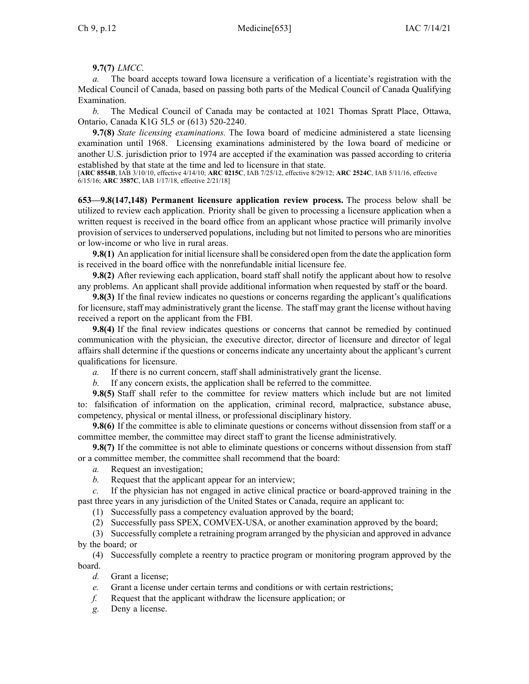# **9.7(7)** *LMCC.*

The board accepts toward Iowa licensure a verification of a licentiate's registration with the Medical Council of Canada, based on passing both parts of the Medical Council of Canada Qualifying Examination.

*b.* The Medical Council of Canada may be contacted at 1021 Thomas Spratt Place, Ottawa, Ontario, Canada K1G 5L5 or (613) 520-2240.

**9.7(8)** *State licensing examinations.* The Iowa board of medicine administered <sup>a</sup> state licensing examination until 1968. Licensing examinations administered by the Iowa board of medicine or another U.S. jurisdiction prior to 1974 are accepted if the examination was passed according to criteria established by that state at the time and led to licensure in that state.

[**ARC [8554B](https://www.legis.iowa.gov/docs/aco/arc/8554B.pdf)**, IAB 3/10/10, effective 4/14/10; **ARC [0215C](https://www.legis.iowa.gov/docs/aco/arc/0215C.pdf)**, IAB 7/25/12, effective 8/29/12; **ARC [2524C](https://www.legis.iowa.gov/docs/aco/arc/2524C.pdf)**, IAB 5/11/16, effective 6/15/16; **ARC [3587C](https://www.legis.iowa.gov/docs/aco/arc/3587C.pdf)**, IAB 1/17/18, effective 2/21/18]

**653—9.8(147,148) Permanent licensure application review process.** The process below shall be utilized to review each application. Priority shall be given to processing <sup>a</sup> licensure application when <sup>a</sup> written reques<sup>t</sup> is received in the board office from an applicant whose practice will primarily involve provision of services to underserved populations, including but not limited to persons who are minorities or low-income or who live in rural areas.

**9.8(1)** An application for initial licensure shall be considered open from the date the application form is received in the board office with the nonrefundable initial licensure fee.

**9.8(2)** After reviewing each application, board staff shall notify the applicant about how to resolve any problems. An applicant shall provide additional information when requested by staff or the board.

**9.8(3)** If the final review indicates no questions or concerns regarding the applicant's qualifications for licensure, staff may administratively gran<sup>t</sup> the license. The staff may gran<sup>t</sup> the license without having received <sup>a</sup> repor<sup>t</sup> on the applicant from the FBI.

**9.8(4)** If the final review indicates questions or concerns that cannot be remedied by continued communication with the physician, the executive director, director of licensure and director of legal affairs shall determine if the questions or concerns indicate any uncertainty about the applicant's current qualifications for licensure.

*a.* If there is no current concern, staff shall administratively gran<sup>t</sup> the license.

*b.* If any concern exists, the application shall be referred to the committee.

**9.8(5)** Staff shall refer to the committee for review matters which include but are not limited to: falsification of information on the application, criminal record, malpractice, substance abuse, competency, physical or mental illness, or professional disciplinary history.

**9.8(6)** If the committee is able to eliminate questions or concerns without dissension from staff or <sup>a</sup> committee member, the committee may direct staff to gran<sup>t</sup> the license administratively.

**9.8(7)** If the committee is not able to eliminate questions or concerns without dissension from staff or <sup>a</sup> committee member, the committee shall recommend that the board:

*a.* Request an investigation;

*b.* Request that the applicant appear for an interview;

*c.* If the physician has not engaged in active clinical practice or board-approved training in the pas<sup>t</sup> three years in any jurisdiction of the United States or Canada, require an applicant to:

(1) Successfully pass <sup>a</sup> competency evaluation approved by the board;

(2) Successfully pass SPEX, COMVEX-USA, or another examination approved by the board;

(3) Successfully complete <sup>a</sup> retraining program arranged by the physician and approved in advance by the board; or

(4) Successfully complete <sup>a</sup> reentry to practice program or monitoring program approved by the board.

*d.* Grant <sup>a</sup> license;

*e.* Grant <sup>a</sup> license under certain terms and conditions or with certain restrictions;

*f.* Request that the applicant withdraw the licensure application; or

*g.* Deny <sup>a</sup> license.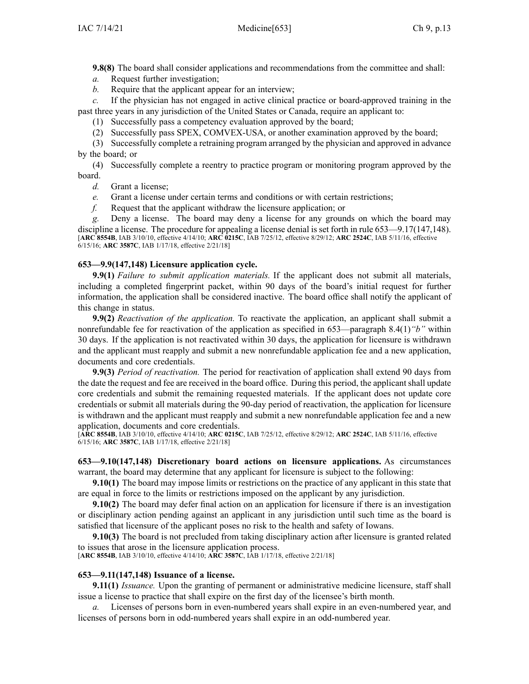**9.8(8)** The board shall consider applications and recommendations from the committee and shall:

*a.* Request further investigation;

*b.* Require that the applicant appear for an interview;

*c.* If the physician has not engaged in active clinical practice or board-approved training in the pas<sup>t</sup> three years in any jurisdiction of the United States or Canada, require an applicant to:

(1) Successfully pass <sup>a</sup> competency evaluation approved by the board;

(2) Successfully pass SPEX, COMVEX-USA, or another examination approved by the board;

(3) Successfully complete <sup>a</sup> retraining program arranged by the physician and approved in advance by the board; or

(4) Successfully complete <sup>a</sup> reentry to practice program or monitoring program approved by the board.

*d.* Grant <sup>a</sup> license;

*e.* Grant <sup>a</sup> license under certain terms and conditions or with certain restrictions;

*f.* Request that the applicant withdraw the licensure application; or

*g.* Deny <sup>a</sup> license. The board may deny <sup>a</sup> license for any grounds on which the board may discipline <sup>a</sup> license. The procedure for appealing <sup>a</sup> license denial is set forth in rule [653—9.17\(147,148\)](https://www.legis.iowa.gov/docs/iac/rule/653.9.17.pdf). [**ARC [8554B](https://www.legis.iowa.gov/docs/aco/arc/8554B.pdf)**, IAB 3/10/10, effective 4/14/10; **ARC [0215C](https://www.legis.iowa.gov/docs/aco/arc/0215C.pdf)**, IAB 7/25/12, effective 8/29/12; **ARC [2524C](https://www.legis.iowa.gov/docs/aco/arc/2524C.pdf)**, IAB 5/11/16, effective 6/15/16; **ARC [3587C](https://www.legis.iowa.gov/docs/aco/arc/3587C.pdf)**, IAB 1/17/18, effective 2/21/18]

# **653—9.9(147,148) Licensure application cycle.**

**9.9(1)** *Failure to submit application materials.* If the applicant does not submit all materials, including <sup>a</sup> completed fingerprint packet, within 90 days of the board's initial reques<sup>t</sup> for further information, the application shall be considered inactive. The board office shall notify the applicant of this change in status.

**9.9(2)** *Reactivation of the application.* To reactivate the application, an applicant shall submit <sup>a</sup> nonrefundable fee for reactivation of the application as specified in [653—paragraph](https://www.legis.iowa.gov/docs/iac/rule/653.8.4.pdf) 8.4(1)*"b"* within 30 days. If the application is not reactivated within 30 days, the application for licensure is withdrawn and the applicant must reapply and submit <sup>a</sup> new nonrefundable application fee and <sup>a</sup> new application, documents and core credentials.

**9.9(3)** *Period of reactivation.* The period for reactivation of application shall extend 90 days from the date the reques<sup>t</sup> and fee are received in the board office. During this period, the applicant shall update core credentials and submit the remaining requested materials. If the applicant does not update core credentials or submit all materials during the 90-day period of reactivation, the application for licensure is withdrawn and the applicant must reapply and submit <sup>a</sup> new nonrefundable application fee and <sup>a</sup> new application, documents and core credentials.

[**ARC [8554B](https://www.legis.iowa.gov/docs/aco/arc/8554B.pdf)**, IAB 3/10/10, effective 4/14/10; **ARC [0215C](https://www.legis.iowa.gov/docs/aco/arc/0215C.pdf)**, IAB 7/25/12, effective 8/29/12; **ARC [2524C](https://www.legis.iowa.gov/docs/aco/arc/2524C.pdf)**, IAB 5/11/16, effective 6/15/16; **ARC [3587C](https://www.legis.iowa.gov/docs/aco/arc/3587C.pdf)**, IAB 1/17/18, effective 2/21/18]

### **653—9.10(147,148) Discretionary board actions on licensure applications.** As circumstances warrant, the board may determine that any applicant for licensure is subject to the following:

**9.10(1)** The board may impose limits or restrictions on the practice of any applicant in this state that are equal in force to the limits or restrictions imposed on the applicant by any jurisdiction.

**9.10(2)** The board may defer final action on an application for licensure if there is an investigation or disciplinary action pending against an applicant in any jurisdiction until such time as the board is satisfied that licensure of the applicant poses no risk to the health and safety of Iowans.

**9.10(3)** The board is not precluded from taking disciplinary action after licensure is granted related to issues that arose in the licensure application process.

[**ARC [8554B](https://www.legis.iowa.gov/docs/aco/arc/8554B.pdf)**, IAB 3/10/10, effective 4/14/10; **ARC [3587C](https://www.legis.iowa.gov/docs/aco/arc/3587C.pdf)**, IAB 1/17/18, effective 2/21/18]

# **653—9.11(147,148) Issuance of <sup>a</sup> license.**

**9.11(1)** *Issuance.* Upon the granting of permanen<sup>t</sup> or administrative medicine licensure, staff shall issue <sup>a</sup> license to practice that shall expire on the first day of the licensee's birth month.

*a.* Licenses of persons born in even-numbered years shall expire in an even-numbered year, and licenses of persons born in odd-numbered years shall expire in an odd-numbered year.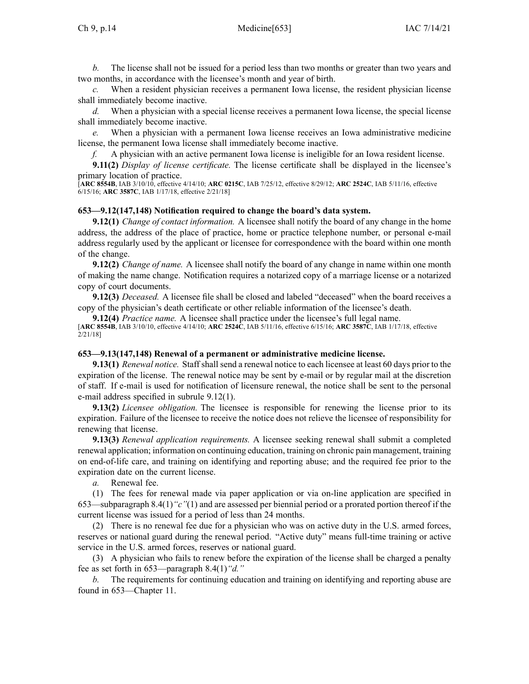*b.* The license shall not be issued for <sup>a</sup> period less than two months or greater than two years and two months, in accordance with the licensee's month and year of birth.

*c.* When <sup>a</sup> resident physician receives <sup>a</sup> permanen<sup>t</sup> Iowa license, the resident physician license shall immediately become inactive.

*d.* When <sup>a</sup> physician with <sup>a</sup> special license receives <sup>a</sup> permanen<sup>t</sup> Iowa license, the special license shall immediately become inactive.

*e.* When <sup>a</sup> physician with <sup>a</sup> permanen<sup>t</sup> Iowa license receives an Iowa administrative medicine license, the permanen<sup>t</sup> Iowa license shall immediately become inactive.

*f.* A physician with an active permanen<sup>t</sup> Iowa license is ineligible for an Iowa resident license.

**9.11(2)** *Display of license certificate.* The license certificate shall be displayed in the licensee's primary location of practice.

[**ARC [8554B](https://www.legis.iowa.gov/docs/aco/arc/8554B.pdf)**, IAB 3/10/10, effective 4/14/10; **ARC [0215C](https://www.legis.iowa.gov/docs/aco/arc/0215C.pdf)**, IAB 7/25/12, effective 8/29/12; **ARC [2524C](https://www.legis.iowa.gov/docs/aco/arc/2524C.pdf)**, IAB 5/11/16, effective 6/15/16; **ARC [3587C](https://www.legis.iowa.gov/docs/aco/arc/3587C.pdf)**, IAB 1/17/18, effective 2/21/18]

#### **653—9.12(147,148) Notification required to change the board's data system.**

**9.12(1)** *Change of contact information.* A licensee shall notify the board of any change in the home address, the address of the place of practice, home or practice telephone number, or personal e-mail address regularly used by the applicant or licensee for correspondence with the board within one month of the change.

**9.12(2)** *Change of name.* A licensee shall notify the board of any change in name within one month of making the name change. Notification requires <sup>a</sup> notarized copy of <sup>a</sup> marriage license or <sup>a</sup> notarized copy of court documents.

**9.12(3)** *Deceased.* A licensee file shall be closed and labeled "deceased" when the board receives <sup>a</sup> copy of the physician's death certificate or other reliable information of the licensee's death.

**9.12(4)** *Practice name.* A licensee shall practice under the licensee's full legal name.

[**ARC [8554B](https://www.legis.iowa.gov/docs/aco/arc/8554B.pdf)**, IAB 3/10/10, effective 4/14/10; **ARC [2524C](https://www.legis.iowa.gov/docs/aco/arc/2524C.pdf)**, IAB 5/11/16, effective 6/15/16; **ARC [3587C](https://www.legis.iowa.gov/docs/aco/arc/3587C.pdf)**, IAB 1/17/18, effective 2/21/18]

#### **653—9.13(147,148) Renewal of <sup>a</sup> permanent or administrative medicine license.**

**9.13(1)** *Renewal notice.* Staff shall send a renewal notice to each licensee at least 60 days prior to the expiration of the license. The renewal notice may be sent by e-mail or by regular mail at the discretion of staff. If e-mail is used for notification of licensure renewal, the notice shall be sent to the personal e-mail address specified in subrule [9.12\(1\)](https://www.legis.iowa.gov/docs/iac/rule/653.9.12.pdf).

**9.13(2)** *Licensee obligation.* The licensee is responsible for renewing the license prior to its expiration. Failure of the licensee to receive the notice does not relieve the licensee of responsibility for renewing that license.

**9.13(3)** *Renewal application requirements.* A licensee seeking renewal shall submit <sup>a</sup> completed renewal application; information on continuing education, training on chronic pain management, training on end-of-life care, and training on identifying and reporting abuse; and the required fee prior to the expiration date on the current license.

*a.* Renewal fee.

(1) The fees for renewal made via paper application or via on-line application are specified in [653—subparagraph](https://www.legis.iowa.gov/docs/iac/rule/653.8.4.pdf) 8.4(1)*"c"*(1) and are assessed per biennial period or <sup>a</sup> prorated portion thereof if the current license was issued for <sup>a</sup> period of less than 24 months.

(2) There is no renewal fee due for <sup>a</sup> physician who was on active duty in the U.S. armed forces, reserves or national guard during the renewal period. "Active duty" means full-time training or active service in the U.S. armed forces, reserves or national guard.

(3) A physician who fails to renew before the expiration of the license shall be charged <sup>a</sup> penalty fee as set forth in [653—paragraph](https://www.legis.iowa.gov/docs/iac/rule/653.8.4.pdf) 8.4(1)*"d."*

*b.* The requirements for continuing education and training on identifying and reporting abuse are found in [653—Chapter](https://www.legis.iowa.gov/docs/iac/chapter/653.11.pdf) 11.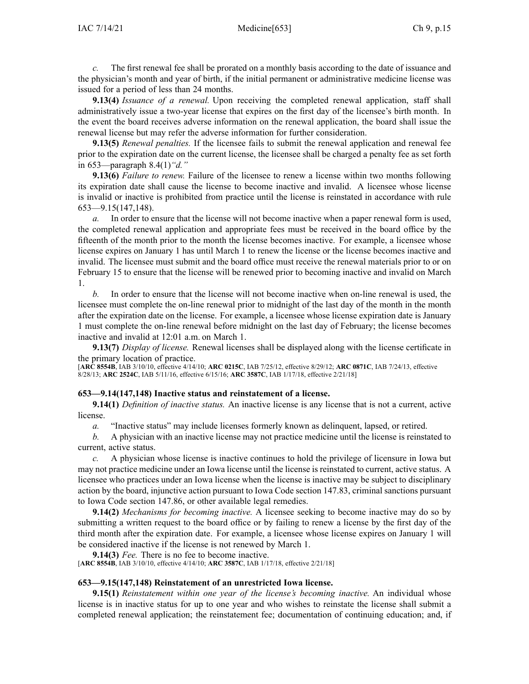*c.* The first renewal fee shall be prorated on <sup>a</sup> monthly basis according to the date of issuance and the physician's month and year of birth, if the initial permanen<sup>t</sup> or administrative medicine license was issued for <sup>a</sup> period of less than 24 months.

**9.13(4)** *Issuance of <sup>a</sup> renewal.* Upon receiving the completed renewal application, staff shall administratively issue <sup>a</sup> two-year license that expires on the first day of the licensee's birth month. In the event the board receives adverse information on the renewal application, the board shall issue the renewal license but may refer the adverse information for further consideration.

**9.13(5)** *Renewal penalties.* If the licensee fails to submit the renewal application and renewal fee prior to the expiration date on the current license, the licensee shall be charged <sup>a</sup> penalty fee as set forth in [653—paragraph](https://www.legis.iowa.gov/docs/iac/rule/653.8.4.pdf) 8.4(1)*"d."*

**9.13(6)** *Failure to renew.* Failure of the licensee to renew <sup>a</sup> license within two months following its expiration date shall cause the license to become inactive and invalid. A licensee whose license is invalid or inactive is prohibited from practice until the license is reinstated in accordance with rule [653—9.15](https://www.legis.iowa.gov/docs/iac/rule/653.9.15.pdf)(147,148).

*a.* In order to ensure that the license will not become inactive when <sup>a</sup> paper renewal form is used, the completed renewal application and appropriate fees must be received in the board office by the fifteenth of the month prior to the month the license becomes inactive. For example, <sup>a</sup> licensee whose license expires on January 1 has until March 1 to renew the license or the license becomes inactive and invalid. The licensee must submit and the board office must receive the renewal materials prior to or on February 15 to ensure that the license will be renewed prior to becoming inactive and invalid on March 1.

*b.* In order to ensure that the license will not become inactive when on-line renewal is used, the licensee must complete the on-line renewal prior to midnight of the last day of the month in the month after the expiration date on the license. For example, <sup>a</sup> licensee whose license expiration date is January 1 must complete the on-line renewal before midnight on the last day of February; the license becomes inactive and invalid at 12:01 a.m. on March 1.

**9.13(7)** *Display of license.* Renewal licenses shall be displayed along with the license certificate in the primary location of practice.

[**ARC [8554B](https://www.legis.iowa.gov/docs/aco/arc/8554B.pdf)**, IAB 3/10/10, effective 4/14/10; **ARC [0215C](https://www.legis.iowa.gov/docs/aco/arc/0215C.pdf)**, IAB 7/25/12, effective 8/29/12; **ARC [0871C](https://www.legis.iowa.gov/docs/aco/arc/0871C.pdf)**, IAB 7/24/13, effective 8/28/13; **ARC [2524C](https://www.legis.iowa.gov/docs/aco/arc/2524C.pdf)**, IAB 5/11/16, effective 6/15/16; **ARC [3587C](https://www.legis.iowa.gov/docs/aco/arc/3587C.pdf)**, IAB 1/17/18, effective 2/21/18]

### **653—9.14(147,148) Inactive status and reinstatement of <sup>a</sup> license.**

**9.14(1)** *Definition of inactive status.* An inactive license is any license that is not <sup>a</sup> current, active license.

*a.* "Inactive status" may include licenses formerly known as delinquent, lapsed, or retired.

*b.* A physician with an inactive license may not practice medicine until the license is reinstated to current, active status.

*c.* A physician whose license is inactive continues to hold the privilege of licensure in Iowa but may not practice medicine under an Iowa license until the license is reinstated to current, active status. A licensee who practices under an Iowa license when the license is inactive may be subject to disciplinary action by the board, injunctive action pursuan<sup>t</sup> to Iowa Code section [147.83](https://www.legis.iowa.gov/docs/ico/section/147.83.pdf), criminal sanctions pursuan<sup>t</sup> to Iowa Code section [147.86](https://www.legis.iowa.gov/docs/ico/section/147.86.pdf), or other available legal remedies.

**9.14(2)** *Mechanisms for becoming inactive.* A licensee seeking to become inactive may do so by submitting <sup>a</sup> written reques<sup>t</sup> to the board office or by failing to renew <sup>a</sup> license by the first day of the third month after the expiration date. For example, <sup>a</sup> licensee whose license expires on January 1 will be considered inactive if the license is not renewed by March 1.

**9.14(3)** *Fee.* There is no fee to become inactive.

[**ARC [8554B](https://www.legis.iowa.gov/docs/aco/arc/8554B.pdf)**, IAB 3/10/10, effective 4/14/10; **ARC [3587C](https://www.legis.iowa.gov/docs/aco/arc/3587C.pdf)**, IAB 1/17/18, effective 2/21/18]

### **653—9.15(147,148) Reinstatement of an unrestricted Iowa license.**

**9.15(1)** *Reinstatement within one year of the license's becoming inactive.* An individual whose license is in inactive status for up to one year and who wishes to reinstate the license shall submit <sup>a</sup> completed renewal application; the reinstatement fee; documentation of continuing education; and, if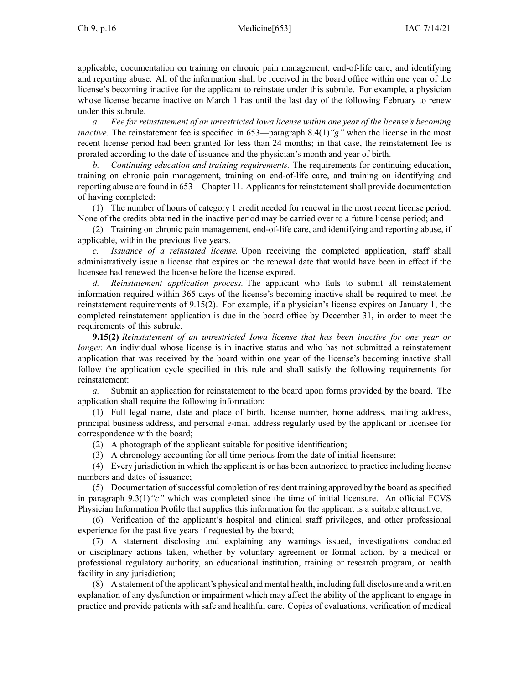applicable, documentation on training on chronic pain management, end-of-life care, and identifying and reporting abuse. All of the information shall be received in the board office within one year of the license's becoming inactive for the applicant to reinstate under this subrule. For example, <sup>a</sup> physician whose license became inactive on March 1 has until the last day of the following February to renew under this subrule.

*a. Fee for reinstatement of an unrestricted Iowa license within one year of the license's becoming inactive.* The reinstatement fee is specified in [653—paragraph](https://www.legis.iowa.gov/docs/iac/rule/653.8.4.pdf) 8.4(1) "g" when the license in the most recent license period had been granted for less than 24 months; in that case, the reinstatement fee is prorated according to the date of issuance and the physician's month and year of birth.

*b. Continuing education and training requirements.* The requirements for continuing education, training on chronic pain management, training on end-of-life care, and training on identifying and reporting abuse are found in [653—Chapter](https://www.legis.iowa.gov/docs/iac/chapter/653.11.pdf) 11. Applicants for reinstatement shall provide documentation of having completed:

(1) The number of hours of category 1 credit needed for renewal in the most recent license period. None of the credits obtained in the inactive period may be carried over to <sup>a</sup> future license period; and

(2) Training on chronic pain management, end-of-life care, and identifying and reporting abuse, if applicable, within the previous five years.

*c. Issuance of <sup>a</sup> reinstated license.* Upon receiving the completed application, staff shall administratively issue <sup>a</sup> license that expires on the renewal date that would have been in effect if the licensee had renewed the license before the license expired.

*d. Reinstatement application process.* The applicant who fails to submit all reinstatement information required within 365 days of the license's becoming inactive shall be required to meet the reinstatement requirements of [9.15\(2\)](https://www.legis.iowa.gov/docs/iac/rule/653.9.15.pdf). For example, if <sup>a</sup> physician's license expires on January 1, the completed reinstatement application is due in the board office by December 31, in order to meet the requirements of this subrule.

**9.15(2)** *Reinstatement of an unrestricted Iowa license that has been inactive for one year or longer.* An individual whose license is in inactive status and who has not submitted a reinstatement application that was received by the board within one year of the license's becoming inactive shall follow the application cycle specified in this rule and shall satisfy the following requirements for reinstatement:

*a.* Submit an application for reinstatement to the board upon forms provided by the board. The application shall require the following information:

(1) Full legal name, date and place of birth, license number, home address, mailing address, principal business address, and personal e-mail address regularly used by the applicant or licensee for correspondence with the board;

(2) A photograph of the applicant suitable for positive identification;

(3) A chronology accounting for all time periods from the date of initial licensure;

(4) Every jurisdiction in which the applicant is or has been authorized to practice including license numbers and dates of issuance;

(5) Documentation ofsuccessful completion of resident training approved by the board asspecified in paragraph 9.3(1)*"c"* which was completed since the time of initial licensure. An official FCVS Physician Information Profile that supplies this information for the applicant is <sup>a</sup> suitable alternative;

(6) Verification of the applicant's hospital and clinical staff privileges, and other professional experience for the pas<sup>t</sup> five years if requested by the board;

(7) A statement disclosing and explaining any warnings issued, investigations conducted or disciplinary actions taken, whether by voluntary agreemen<sup>t</sup> or formal action, by <sup>a</sup> medical or professional regulatory authority, an educational institution, training or research program, or health facility in any jurisdiction;

(8) A statement of the applicant's physical and mental health, including full disclosure and <sup>a</sup> written explanation of any dysfunction or impairment which may affect the ability of the applicant to engage in practice and provide patients with safe and healthful care. Copies of evaluations, verification of medical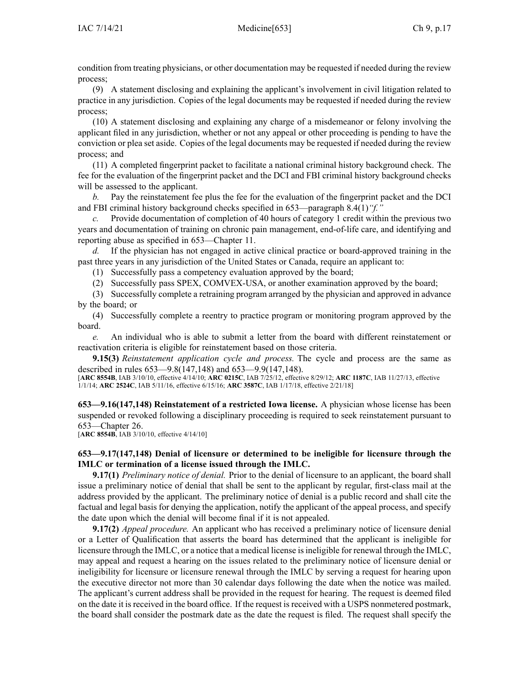condition from treating physicians, or other documentation may be requested if needed during the review process;

(9) A statement disclosing and explaining the applicant's involvement in civil litigation related to practice in any jurisdiction. Copies of the legal documents may be requested if needed during the review process;

(10) A statement disclosing and explaining any charge of <sup>a</sup> misdemeanor or felony involving the applicant filed in any jurisdiction, whether or not any appeal or other proceeding is pending to have the conviction or plea set aside. Copies of the legal documents may be requested if needed during the review process; and

(11) A completed fingerprint packet to facilitate <sup>a</sup> national criminal history background check. The fee for the evaluation of the fingerprint packet and the DCI and FBI criminal history background checks will be assessed to the applicant.

*b.* Pay the reinstatement fee plus the fee for the evaluation of the fingerprint packet and the DCI and FBI criminal history background checks specified in [653—paragraph](https://www.legis.iowa.gov/docs/iac/rule/653.8.4.pdf) 8.4(1)*"f."*

*c.* Provide documentation of completion of 40 hours of category 1 credit within the previous two years and documentation of training on chronic pain management, end-of-life care, and identifying and reporting abuse as specified in [653—Chapter](https://www.legis.iowa.gov/docs/iac/chapter/653.11.pdf) 11.

*d.* If the physician has not engaged in active clinical practice or board-approved training in the pas<sup>t</sup> three years in any jurisdiction of the United States or Canada, require an applicant to:

(1) Successfully pass <sup>a</sup> competency evaluation approved by the board;

(2) Successfully pass SPEX, COMVEX-USA, or another examination approved by the board;

(3) Successfully complete <sup>a</sup> retraining program arranged by the physician and approved in advance by the board; or

(4) Successfully complete <sup>a</sup> reentry to practice program or monitoring program approved by the board.

*e.* An individual who is able to submit <sup>a</sup> letter from the board with different reinstatement or reactivation criteria is eligible for reinstatement based on those criteria.

**9.15(3)** *Reinstatement application cycle and process.* The cycle and process are the same as described in rules [653—9.8](https://www.legis.iowa.gov/docs/iac/rule/653.9.8.pdf)(147,148) and [653—9.9](https://www.legis.iowa.gov/docs/iac/rule/653.9.9.pdf)(147,148).

[**ARC [8554B](https://www.legis.iowa.gov/docs/aco/arc/8554B.pdf)**, IAB 3/10/10, effective 4/14/10; **ARC [0215C](https://www.legis.iowa.gov/docs/aco/arc/0215C.pdf)**, IAB 7/25/12, effective 8/29/12; **ARC [1187C](https://www.legis.iowa.gov/docs/aco/arc/1187C.pdf)**, IAB 11/27/13, effective 1/1/14; **ARC [2524C](https://www.legis.iowa.gov/docs/aco/arc/2524C.pdf)**, IAB 5/11/16, effective 6/15/16; **ARC [3587C](https://www.legis.iowa.gov/docs/aco/arc/3587C.pdf)**, IAB 1/17/18, effective 2/21/18]

**653—9.16(147,148) Reinstatement of <sup>a</sup> restricted Iowa license.** A physician whose license has been suspended or revoked following <sup>a</sup> disciplinary proceeding is required to seek reinstatement pursuan<sup>t</sup> to [653—Chapter](https://www.legis.iowa.gov/docs/iac/chapter/653.26.pdf) 26.

[**ARC [8554B](https://www.legis.iowa.gov/docs/aco/arc/8554B.pdf)**, IAB 3/10/10, effective 4/14/10]

# **653—9.17(147,148) Denial of licensure or determined to be ineligible for licensure through the IMLC or termination of <sup>a</sup> license issued through the IMLC.**

**9.17(1)** *Preliminary notice of denial.* Prior to the denial of licensure to an applicant, the board shall issue <sup>a</sup> preliminary notice of denial that shall be sent to the applicant by regular, first-class mail at the address provided by the applicant. The preliminary notice of denial is <sup>a</sup> public record and shall cite the factual and legal basis for denying the application, notify the applicant of the appeal process, and specify the date upon which the denial will become final if it is not appealed.

**9.17(2)** *Appeal procedure.* An applicant who has received <sup>a</sup> preliminary notice of licensure denial or <sup>a</sup> Letter of Qualification that asserts the board has determined that the applicant is ineligible for licensure through the IMLC, or a notice that a medical license is ineligible for renewal through the IMLC, may appeal and reques<sup>t</sup> <sup>a</sup> hearing on the issues related to the preliminary notice of licensure denial or ineligibility for licensure or licensure renewal through the IMLC by serving <sup>a</sup> reques<sup>t</sup> for hearing upon the executive director not more than 30 calendar days following the date when the notice was mailed. The applicant's current address shall be provided in the reques<sup>t</sup> for hearing. The reques<sup>t</sup> is deemed filed on the date it is received in the board office. If the reques<sup>t</sup> is received with <sup>a</sup> USPS nonmetered postmark, the board shall consider the postmark date as the date the reques<sup>t</sup> is filed. The reques<sup>t</sup> shall specify the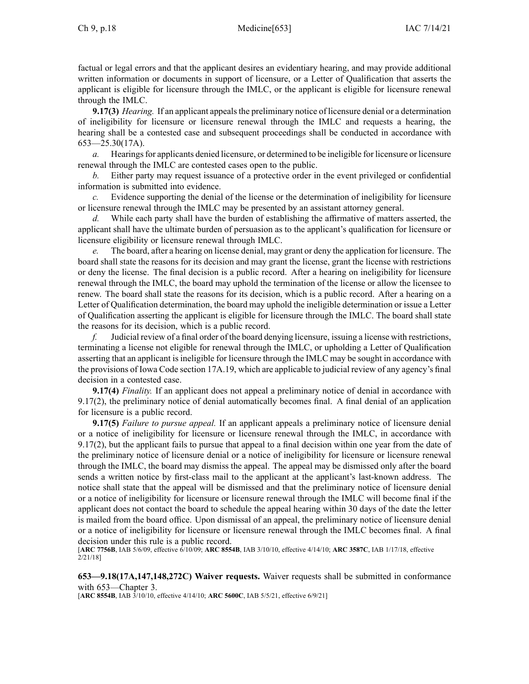factual or legal errors and that the applicant desires an evidentiary hearing, and may provide additional written information or documents in suppor<sup>t</sup> of licensure, or <sup>a</sup> Letter of Qualification that asserts the applicant is eligible for licensure through the IMLC, or the applicant is eligible for licensure renewal through the IMLC.

**9.17(3)** *Hearing.* If an applicant appeals the preliminary notice of licensure denial or a determination of ineligibility for licensure or licensure renewal through the IMLC and requests <sup>a</sup> hearing, the hearing shall be <sup>a</sup> contested case and subsequent proceedings shall be conducted in accordance with [653—25.30](https://www.legis.iowa.gov/docs/iac/rule/653.25.30.pdf)(17A).

*a.* Hearings for applicants denied licensure, or determined to be ineligible for licensure or licensure renewal through the IMLC are contested cases open to the public.

*b.* Either party may reques<sup>t</sup> issuance of <sup>a</sup> protective order in the event privileged or confidential information is submitted into evidence.

*c.* Evidence supporting the denial of the license or the determination of ineligibility for licensure or licensure renewal through the IMLC may be presented by an assistant attorney general.

*d.* While each party shall have the burden of establishing the affirmative of matters asserted, the applicant shall have the ultimate burden of persuasion as to the applicant's qualification for licensure or licensure eligibility or licensure renewal through IMLC.

*e.* The board, after <sup>a</sup> hearing on license denial, may gran<sup>t</sup> or deny the application for licensure. The board shall state the reasons for its decision and may gran<sup>t</sup> the license, gran<sup>t</sup> the license with restrictions or deny the license. The final decision is <sup>a</sup> public record. After <sup>a</sup> hearing on ineligibility for licensure renewal through the IMLC, the board may uphold the termination of the license or allow the licensee to renew. The board shall state the reasons for its decision, which is <sup>a</sup> public record. After <sup>a</sup> hearing on <sup>a</sup> Letter of Qualification determination, the board may uphold the ineligible determination or issue <sup>a</sup> Letter of Qualification asserting the applicant is eligible for licensure through the IMLC. The board shall state the reasons for its decision, which is <sup>a</sup> public record.

*f.* Judicial review of <sup>a</sup> final order of the board denying licensure, issuing <sup>a</sup> license with restrictions, terminating <sup>a</sup> license not eligible for renewal through the IMLC, or upholding <sup>a</sup> Letter of Qualification asserting that an applicant is ineligible for licensure through the IMLC may be sought in accordance with the provisions of Iowa Code section [17A.19](https://www.legis.iowa.gov/docs/ico/section/17A.19.pdf), which are applicable to judicial review of any agency's final decision in <sup>a</sup> contested case.

**9.17(4)** *Finality.* If an applicant does not appeal <sup>a</sup> preliminary notice of denial in accordance with [9.17\(2\)](https://www.legis.iowa.gov/docs/iac/rule/653.9.17.pdf), the preliminary notice of denial automatically becomes final. A final denial of an application for licensure is <sup>a</sup> public record.

**9.17(5)** *Failure to pursue appeal.* If an applicant appeals <sup>a</sup> preliminary notice of licensure denial or <sup>a</sup> notice of ineligibility for licensure or licensure renewal through the IMLC, in accordance with [9.17\(2\)](https://www.legis.iowa.gov/docs/iac/rule/653.9.17.pdf), but the applicant fails to pursue that appeal to <sup>a</sup> final decision within one year from the date of the preliminary notice of licensure denial or <sup>a</sup> notice of ineligibility for licensure or licensure renewal through the IMLC, the board may dismiss the appeal. The appeal may be dismissed only after the board sends <sup>a</sup> written notice by first-class mail to the applicant at the applicant's last-known address. The notice shall state that the appeal will be dismissed and that the preliminary notice of licensure denial or <sup>a</sup> notice of ineligibility for licensure or licensure renewal through the IMLC will become final if the applicant does not contact the board to schedule the appeal hearing within 30 days of the date the letter is mailed from the board office. Upon dismissal of an appeal, the preliminary notice of licensure denial or <sup>a</sup> notice of ineligibility for licensure or licensure renewal through the IMLC becomes final. A final decision under this rule is <sup>a</sup> public record.

[**ARC [7756B](https://www.legis.iowa.gov/docs/aco/arc/7756B.pdf)**, IAB 5/6/09, effective 6/10/09; **ARC [8554B](https://www.legis.iowa.gov/docs/aco/arc/8554B.pdf)**, IAB 3/10/10, effective 4/14/10; **ARC [3587C](https://www.legis.iowa.gov/docs/aco/arc/3587C.pdf)**, IAB 1/17/18, effective 2/21/18]

**653—9.18(17A,147,148,272C) Waiver requests.** Waiver requests shall be submitted in conformance with [653—Chapter](https://www.legis.iowa.gov/docs/iac/chapter/653.3.pdf) 3.

[**ARC [8554B](https://www.legis.iowa.gov/docs/aco/arc/8554B.pdf)**, IAB 3/10/10, effective 4/14/10; **ARC [5600C](https://www.legis.iowa.gov/docs/aco/arc/5600C.pdf)**, IAB 5/5/21, effective 6/9/21]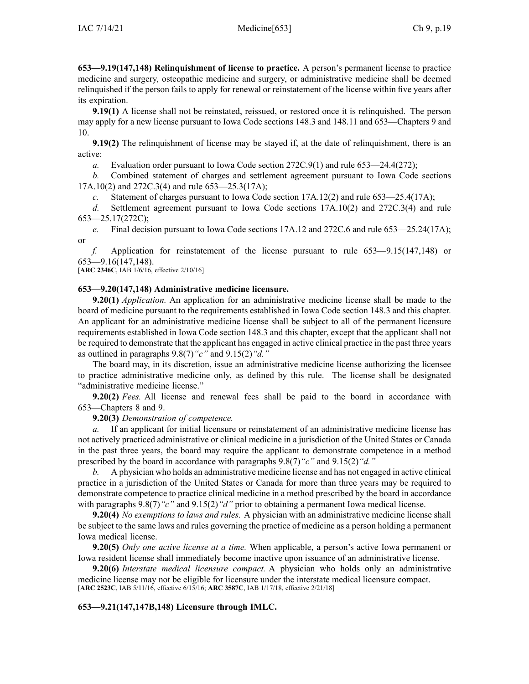**653—9.19(147,148) Relinquishment of license to practice.** A person's permanen<sup>t</sup> license to practice medicine and surgery, osteopathic medicine and surgery, or administrative medicine shall be deemed relinquished if the person fails to apply for renewal or reinstatement of the license within five years after its expiration.

**9.19(1)** A license shall not be reinstated, reissued, or restored once it is relinquished. The person may apply for <sup>a</sup> new license pursuan<sup>t</sup> to Iowa Code sections [148.3](https://www.legis.iowa.gov/docs/ico/section/148.3.pdf) and [148.11](https://www.legis.iowa.gov/docs/ico/section/148.11.pdf) and 653—Chapters 9 and [10](https://www.legis.iowa.gov/docs/iac/chapter/653.10.pdf).

**9.19(2)** The relinquishment of license may be stayed if, at the date of relinquishment, there is an active:

*a.* Evaluation order pursuan<sup>t</sup> to Iowa Code section [272C.9\(1\)](https://www.legis.iowa.gov/docs/ico/section/272C.9.pdf) and rule [653—24.4](https://www.legis.iowa.gov/docs/iac/rule/653.24.4.pdf)(272);

*b.* Combined statement of charges and settlement agreemen<sup>t</sup> pursuan<sup>t</sup> to Iowa Code sections [17A.10\(2\)](https://www.legis.iowa.gov/docs/ico/section/17A.10.pdf) and [272C.3\(4\)](https://www.legis.iowa.gov/docs/ico/section/272C.3.pdf) and rule [653—25.3](https://www.legis.iowa.gov/docs/iac/rule/653.25.3.pdf)(17A);

*c.* Statement of charges pursuan<sup>t</sup> to Iowa Code section [17A.12\(2\)](https://www.legis.iowa.gov/docs/ico/section/17A.12.pdf) and rule [653—25.4](https://www.legis.iowa.gov/docs/iac/rule/653.25.4.pdf)(17A);

*d.* Settlement agreemen<sup>t</sup> pursuan<sup>t</sup> to Iowa Code sections [17A.10\(2\)](https://www.legis.iowa.gov/docs/ico/section/17A.10.pdf) and [272C.3\(4\)](https://www.legis.iowa.gov/docs/ico/section/272C.3.pdf) and rule [653—25.17](https://www.legis.iowa.gov/docs/iac/rule/653.25.17.pdf)(272C);

*e.* Final decision pursuan<sup>t</sup> to Iowa Code sections [17A.12](https://www.legis.iowa.gov/docs/ico/section/17A.12.pdf) and [272C.6](https://www.legis.iowa.gov/docs/ico/section/272C.6.pdf) and rule [653—25.24](https://www.legis.iowa.gov/docs/iac/rule/653.25.24.pdf)(17A); or

*f.* Application for reinstatement of the license pursuan<sup>t</sup> to rule [653—9.15\(](https://www.legis.iowa.gov/docs/iac/rule/653.9.15.pdf)147,148) or [653—9.16](https://www.legis.iowa.gov/docs/iac/rule/653.9.16.pdf)(147,148).

[**ARC [2346C](https://www.legis.iowa.gov/docs/aco/arc/2346C.pdf)**, IAB 1/6/16, effective 2/10/16]

# **653—9.20(147,148) Administrative medicine licensure.**

**9.20(1)** *Application.* An application for an administrative medicine license shall be made to the board of medicine pursuan<sup>t</sup> to the requirements established in Iowa Code section [148.3](https://www.legis.iowa.gov/docs/ico/section/148.3.pdf) and this chapter. An applicant for an administrative medicine license shall be subject to all of the permanen<sup>t</sup> licensure requirements established in Iowa Code section [148.3](https://www.legis.iowa.gov/docs/ico/section/148.3.pdf) and this chapter, excep<sup>t</sup> that the applicant shall not be required to demonstrate that the applicant has engaged in active clinical practice in the pas<sup>t</sup> three years as outlined in paragraphs [9.8\(7\)](https://www.legis.iowa.gov/docs/ico/section/9.8.pdf)*"c"* and [9.15\(2\)](https://www.legis.iowa.gov/docs/ico/section/9.15.pdf)*"d."*

The board may, in its discretion, issue an administrative medicine license authorizing the licensee to practice administrative medicine only, as defined by this rule. The license shall be designated "administrative medicine license."

**9.20(2)** *Fees.* All license and renewal fees shall be paid to the board in accordance with [653—Chapters](https://www.legis.iowa.gov/docs/iac/chapter/653.8.pdf) 8 and [9](https://www.legis.iowa.gov/docs/iac/chapter/653.9.pdf).

**9.20(3)** *Demonstration of competence.*

*a.* If an applicant for initial licensure or reinstatement of an administrative medicine license has not actively practiced administrative or clinical medicine in <sup>a</sup> jurisdiction of the United States or Canada in the pas<sup>t</sup> three years, the board may require the applicant to demonstrate competence in <sup>a</sup> method prescribed by the board in accordance with paragraphs [9.8\(7\)](https://www.legis.iowa.gov/docs/iac/rule/653.9.8.pdf)*"c"* and [9.15\(2\)](https://www.legis.iowa.gov/docs/iac/rule/653.9.15.pdf)*"d."*

*b.* A physician who holds an administrative medicine license and has not engaged in active clinical practice in <sup>a</sup> jurisdiction of the United States or Canada for more than three years may be required to demonstrate competence to practice clinical medicine in <sup>a</sup> method prescribed by the board in accordance with paragraphs  $9.8(7)$  "c" and  $9.15(2)$  "d" prior to obtaining a permanent Iowa medical license.

**9.20(4)** *No exemptions to laws and rules.* A physician with an administrative medicine license shall be subject to the same laws and rules governing the practice of medicine as <sup>a</sup> person holding <sup>a</sup> permanen<sup>t</sup> Iowa medical license.

**9.20(5)** *Only one active license at <sup>a</sup> time.* When applicable, <sup>a</sup> person's active Iowa permanen<sup>t</sup> or Iowa resident license shall immediately become inactive upon issuance of an administrative license.

**9.20(6)** *Interstate medical licensure compact.* A physician who holds only an administrative medicine license may not be eligible for licensure under the interstate medical licensure compact. [**ARC [2523C](https://www.legis.iowa.gov/docs/aco/arc/2523C.pdf)**, IAB 5/11/16, effective 6/15/16; **ARC [3587C](https://www.legis.iowa.gov/docs/aco/arc/3587C.pdf)**, IAB 1/17/18, effective 2/21/18]

### **653—9.21(147,147B,148) Licensure through IMLC.**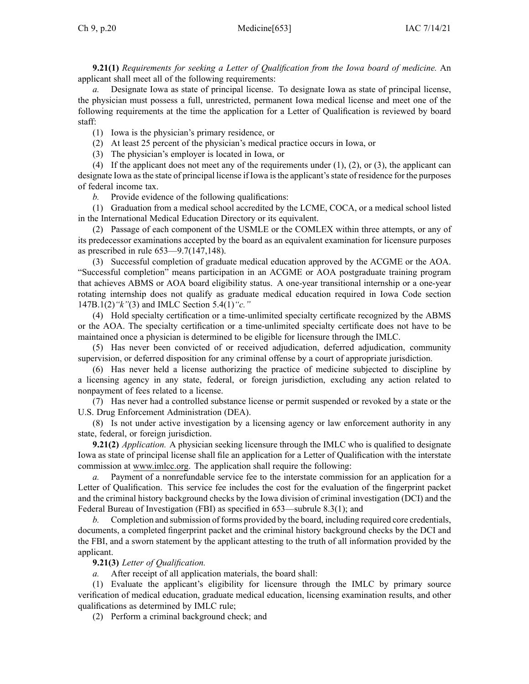**9.21(1)** *Requirements for seeking <sup>a</sup> Letter of Qualification from the Iowa board of medicine.* An applicant shall meet all of the following requirements:

Designate Iowa as state of principal license. To designate Iowa as state of principal license, the physician must possess <sup>a</sup> full, unrestricted, permanen<sup>t</sup> Iowa medical license and meet one of the following requirements at the time the application for <sup>a</sup> Letter of Qualification is reviewed by board staff:

(1) Iowa is the physician's primary residence, or

(2) At least 25 percen<sup>t</sup> of the physician's medical practice occurs in Iowa, or

(3) The physician's employer is located in Iowa, or

(4) If the applicant does not meet any of the requirements under  $(1)$ ,  $(2)$ , or  $(3)$ , the applicant can designate Iowa as the state of principal license if Iowa is the applicant's state of residence for the purposes of federal income tax.

*b.* Provide evidence of the following qualifications:

(1) Graduation from <sup>a</sup> medical school accredited by the LCME, COCA, or <sup>a</sup> medical school listed in the International Medical Education Directory or its equivalent.

(2) Passage of each componen<sup>t</sup> of the USMLE or the COMLEX within three attempts, or any of its predecessor examinations accepted by the board as an equivalent examination for licensure purposes as prescribed in rule 653—9.7(147,148).

(3) Successful completion of graduate medical education approved by the ACGME or the AOA. "Successful completion" means participation in an ACGME or AOA postgraduate training program that achieves ABMS or AOA board eligibility status. A one-year transitional internship or <sup>a</sup> one-year rotating internship does not qualify as graduate medical education required in Iowa Code section [147B.1\(2\)](https://www.legis.iowa.gov/docs/ico/section/2018/147B.1.pdf)*"k"*(3) and IMLC Section 5.4(1)*"c."*

(4) Hold specialty certification or <sup>a</sup> time-unlimited specialty certificate recognized by the ABMS or the AOA. The specialty certification or <sup>a</sup> time-unlimited specialty certificate does not have to be maintained once <sup>a</sup> physician is determined to be eligible for licensure through the IMLC.

(5) Has never been convicted of or received adjudication, deferred adjudication, community supervision, or deferred disposition for any criminal offense by <sup>a</sup> court of appropriate jurisdiction.

(6) Has never held <sup>a</sup> license authorizing the practice of medicine subjected to discipline by <sup>a</sup> licensing agency in any state, federal, or foreign jurisdiction, excluding any action related to nonpaymen<sup>t</sup> of fees related to <sup>a</sup> license.

(7) Has never had <sup>a</sup> controlled substance license or permit suspended or revoked by <sup>a</sup> state or the U.S. Drug Enforcement Administration (DEA).

(8) Is not under active investigation by <sup>a</sup> licensing agency or law enforcement authority in any state, federal, or foreign jurisdiction.

**9.21(2)** *Application.* A physician seeking licensure through the IMLC who is qualified to designate Iowa as state of principal license shall file an application for <sup>a</sup> Letter of Qualification with the interstate commission at [www.imlcc.org](http://www.imlcc.org). The application shall require the following:

*a.* Payment of <sup>a</sup> nonrefundable service fee to the interstate commission for an application for <sup>a</sup> Letter of Qualification. This service fee includes the cost for the evaluation of the fingerprint packet and the criminal history background checks by the Iowa division of criminal investigation (DCI) and the Federal Bureau of Investigation (FBI) as specified in 653—subrule 8.3(1); and

*b.* Completion and submission of forms provided by the board, including required core credentials, documents, <sup>a</sup> completed fingerprint packet and the criminal history background checks by the DCI and the FBI, and <sup>a</sup> sworn statement by the applicant attesting to the truth of all information provided by the applicant.

**9.21(3)** *Letter of Qualification.*

*a.* After receipt of all application materials, the board shall:

(1) Evaluate the applicant's eligibility for licensure through the IMLC by primary source verification of medical education, graduate medical education, licensing examination results, and other qualifications as determined by IMLC rule;

(2) Perform <sup>a</sup> criminal background check; and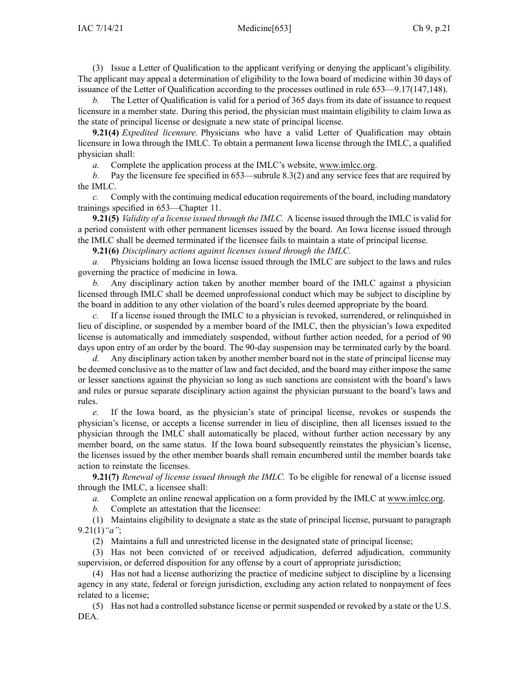(3) Issue <sup>a</sup> Letter of Qualification to the applicant verifying or denying the applicant's eligibility. The applicant may appeal <sup>a</sup> determination of eligibility to the Iowa board of medicine within 30 days of issuance of the Letter of Qualification according to the processes outlined in rule 653—9.17(147,148).

*b.* The Letter of Qualification is valid for <sup>a</sup> period of 365 days from its date of issuance to reques<sup>t</sup> licensure in <sup>a</sup> member state. During this period, the physician must maintain eligibility to claim Iowa as the state of principal license or designate <sup>a</sup> new state of principal license.

**9.21(4)** *Expedited licensure.* Physicians who have <sup>a</sup> valid Letter of Qualification may obtain licensure in Iowa through the IMLC. To obtain <sup>a</sup> permanen<sup>t</sup> Iowa license through the IMLC, <sup>a</sup> qualified physician shall:

*a.* Complete the application process at the IMLC's website, [www.imlcc.org](http://www.imlcc.org).

*b.* Pay the licensure fee specified in 653—subrule 8.3(2) and any service fees that are required by the IMLC.

*c.* Comply with the continuing medical education requirements of the board, including mandatory trainings specified in 653—Chapter 11.

**9.21(5)** *Validity of <sup>a</sup> license issued through the IMLC.* A license issued through the IMLC is valid for <sup>a</sup> period consistent with other permanen<sup>t</sup> licenses issued by the board. An Iowa license issued through the IMLC shall be deemed terminated if the licensee fails to maintain <sup>a</sup> state of principal license.

**9.21(6)** *Disciplinary actions against licenses issued through the IMLC.*

*a.* Physicians holding an Iowa license issued through the IMLC are subject to the laws and rules governing the practice of medicine in Iowa.

*b.* Any disciplinary action taken by another member board of the IMLC against <sup>a</sup> physician licensed through IMLC shall be deemed unprofessional conduct which may be subject to discipline by the board in addition to any other violation of the board's rules deemed appropriate by the board.

*c.* If <sup>a</sup> license issued through the IMLC to <sup>a</sup> physician is revoked, surrendered, or relinquished in lieu of discipline, or suspended by <sup>a</sup> member board of the IMLC, then the physician's Iowa expedited license is automatically and immediately suspended, without further action needed, for <sup>a</sup> period of 90 days upon entry of an order by the board. The 90-day suspension may be terminated early by the board.

*d.* Any disciplinary action taken by another member board not in the state of principal license may be deemed conclusive as to the matter of law and fact decided, and the board may either impose the same or lesser sanctions against the physician so long as such sanctions are consistent with the board's laws and rules or pursue separate disciplinary action against the physician pursuan<sup>t</sup> to the board's laws and rules.

*e.* If the Iowa board, as the physician's state of principal license, revokes or suspends the physician's license, or accepts <sup>a</sup> license surrender in lieu of discipline, then all licenses issued to the physician through the IMLC shall automatically be placed, without further action necessary by any member board, on the same status. If the Iowa board subsequently reinstates the physician's license, the licenses issued by the other member boards shall remain encumbered until the member boards take action to reinstate the licenses.

**9.21(7)** *Renewal of license issued through the IMLC.* To be eligible for renewal of <sup>a</sup> license issued through the IMLC, <sup>a</sup> licensee shall:

*a.* Complete an online renewal application on <sup>a</sup> form provided by the IMLC at [www.imlcc.org](http://www.imlcc.org).

*b.* Complete an attestation that the licensee:

(1) Maintains eligibility to designate <sup>a</sup> state as the state of principal license, pursuan<sup>t</sup> to paragraph 9.21(1)*"a"*;

(2) Maintains <sup>a</sup> full and unrestricted license in the designated state of principal license;

(3) Has not been convicted of or received adjudication, deferred adjudication, community supervision, or deferred disposition for any offense by <sup>a</sup> court of appropriate jurisdiction;

(4) Has not had <sup>a</sup> license authorizing the practice of medicine subject to discipline by <sup>a</sup> licensing agency in any state, federal or foreign jurisdiction, excluding any action related to nonpaymen<sup>t</sup> of fees related to <sup>a</sup> license;

(5) Has not had <sup>a</sup> controlled substance license or permit suspended or revoked by <sup>a</sup> state or the U.S. DEA.